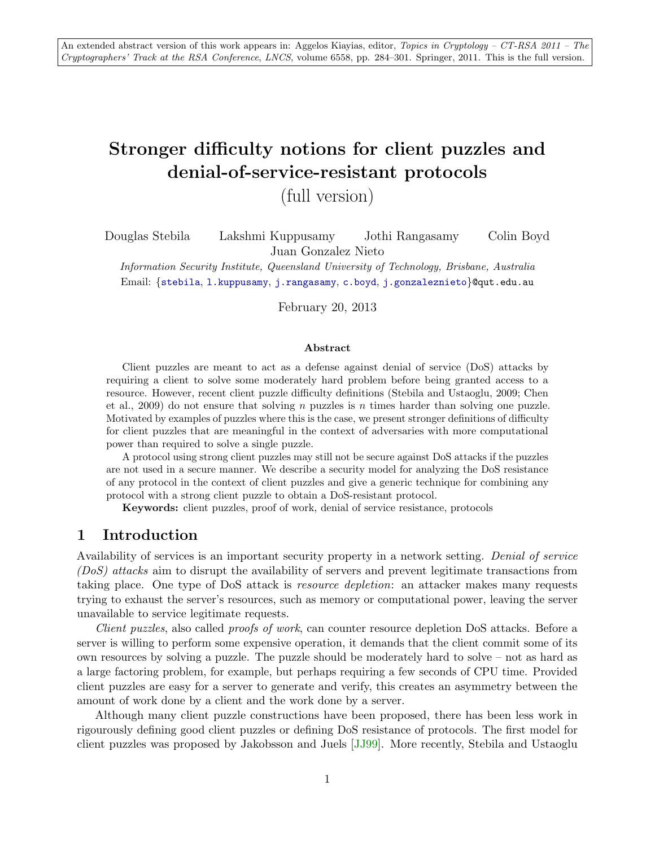# Stronger difficulty notions for client puzzles and denial-of-service-resistant protocols

(full version)

Douglas Stebila Lakshmi Kuppusamy Jothi Rangasamy Colin Boyd Juan Gonzalez Nieto

Information Security Institute, Queensland University of Technology, Brisbane, Australia Email: {[stebila](mailto:stebila@qut.edu.au), [l.kuppusamy](mailto:l.kuppusamy@qut.edu.au), [j.rangasamy](mailto:j.rangasamy@qut.edu.au), [c.boyd](mailto:c.boyd@qut.edu.au), [j.gonzaleznieto](mailto:j.gonzaleznieto@qut.edu.au)}@qut.edu.au

February 20, 2013

#### Abstract

Client puzzles are meant to act as a defense against denial of service (DoS) attacks by requiring a client to solve some moderately hard problem before being granted access to a resource. However, recent client puzzle difficulty definitions (Stebila and Ustaoglu, 2009; Chen et al., 2009) do not ensure that solving n puzzles is n times harder than solving one puzzle. Motivated by examples of puzzles where this is the case, we present stronger definitions of difficulty for client puzzles that are meaningful in the context of adversaries with more computational power than required to solve a single puzzle.

A protocol using strong client puzzles may still not be secure against DoS attacks if the puzzles are not used in a secure manner. We describe a security model for analyzing the DoS resistance of any protocol in the context of client puzzles and give a generic technique for combining any protocol with a strong client puzzle to obtain a DoS-resistant protocol.

Keywords: client puzzles, proof of work, denial of service resistance, protocols

# 1 Introduction

Availability of services is an important security property in a network setting. Denial of service (DoS) attacks aim to disrupt the availability of servers and prevent legitimate transactions from taking place. One type of DoS attack is resource depletion: an attacker makes many requests trying to exhaust the server's resources, such as memory or computational power, leaving the server unavailable to service legitimate requests.

Client puzzles, also called proofs of work, can counter resource depletion DoS attacks. Before a server is willing to perform some expensive operation, it demands that the client commit some of its own resources by solving a puzzle. The puzzle should be moderately hard to solve – not as hard as a large factoring problem, for example, but perhaps requiring a few seconds of CPU time. Provided client puzzles are easy for a server to generate and verify, this creates an asymmetry between the amount of work done by a client and the work done by a server.

Although many client puzzle constructions have been proposed, there has been less work in rigourously defining good client puzzles or defining DoS resistance of protocols. The first model for client puzzles was proposed by Jakobsson and Juels [\[JJ99\]](#page-16-0). More recently, Stebila and Ustaoglu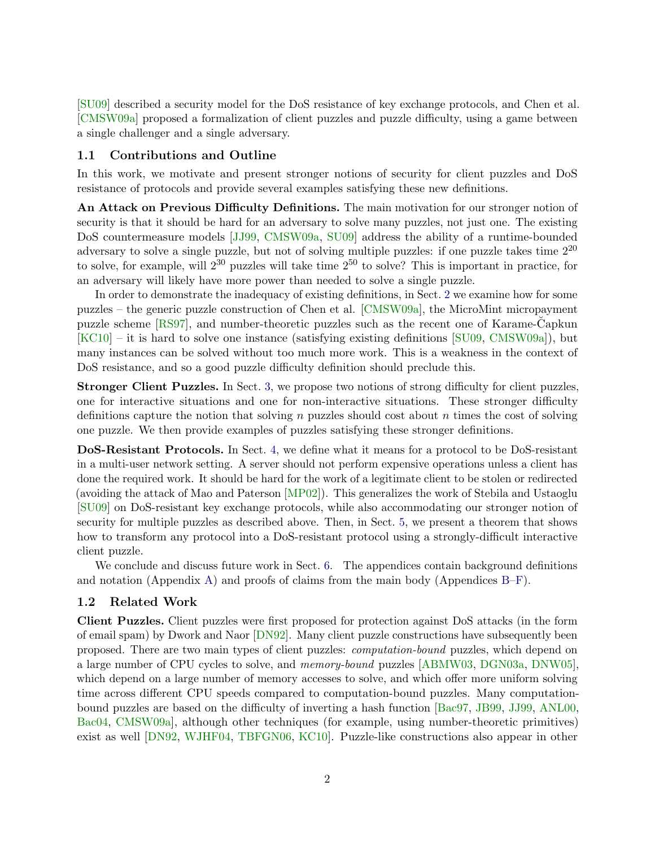[\[SU09\]](#page-17-0) described a security model for the DoS resistance of key exchange protocols, and Chen et al. [\[CMSW09a\]](#page-15-0) proposed a formalization of client puzzles and puzzle difficulty, using a game between a single challenger and a single adversary.

### 1.1 Contributions and Outline

In this work, we motivate and present stronger notions of security for client puzzles and DoS resistance of protocols and provide several examples satisfying these new definitions.

An Attack on Previous Difficulty Definitions. The main motivation for our stronger notion of security is that it should be hard for an adversary to solve many puzzles, not just one. The existing DoS countermeasure models [\[JJ99,](#page-16-0) [CMSW09a,](#page-15-0) [SU09\]](#page-17-0) address the ability of a runtime-bounded adversary to solve a single puzzle, but not of solving multiple puzzles: if one puzzle takes time 2<sup>20</sup> to solve, for example, will  $2^{30}$  puzzles will take time  $2^{50}$  to solve? This is important in practice, for an adversary will likely have more power than needed to solve a single puzzle.

In order to demonstrate the inadequacy of existing definitions, in Sect. [2](#page-3-0) we examine how for some puzzles – the generic puzzle construction of Chen et al. [\[CMSW09a\]](#page-15-0), the MicroMint micropayment puzzle scheme [\[RS97\]](#page-16-1), and number-theoretic puzzles such as the recent one of Karame-Capkun ˘ [\[KC10\]](#page-16-2) – it is hard to solve one instance (satisfying existing definitions [\[SU09,](#page-17-0) [CMSW09a\]](#page-15-0)), but many instances can be solved without too much more work. This is a weakness in the context of DoS resistance, and so a good puzzle difficulty definition should preclude this.

Stronger Client Puzzles. In Sect. [3,](#page-4-0) we propose two notions of strong difficulty for client puzzles, one for interactive situations and one for non-interactive situations. These stronger difficulty definitions capture the notion that solving n puzzles should cost about n times the cost of solving one puzzle. We then provide examples of puzzles satisfying these stronger definitions.

DoS-Resistant Protocols. In Sect. [4,](#page-9-0) we define what it means for a protocol to be DoS-resistant in a multi-user network setting. A server should not perform expensive operations unless a client has done the required work. It should be hard for the work of a legitimate client to be stolen or redirected (avoiding the attack of Mao and Paterson [\[MP02\]](#page-16-3)). This generalizes the work of Stebila and Ustaoglu [\[SU09\]](#page-17-0) on DoS-resistant key exchange protocols, while also accommodating our stronger notion of security for multiple puzzles as described above. Then, in Sect. [5,](#page-11-0) we present a theorem that shows how to transform any protocol into a DoS-resistant protocol using a strongly-difficult interactive client puzzle.

We conclude and discuss future work in Sect. [6.](#page-13-0) The appendices contain background definitions and notation (Appendix [A\)](#page-17-1) and proofs of claims from the main body (Appendices  $B-F$ ).

### 1.2 Related Work

Client Puzzles. Client puzzles were first proposed for protection against DoS attacks (in the form of email spam) by Dwork and Naor [\[DN92\]](#page-15-1). Many client puzzle constructions have subsequently been proposed. There are two main types of client puzzles: computation-bound puzzles, which depend on a large number of CPU cycles to solve, and memory-bound puzzles [\[ABMW03,](#page-14-0) [DGN03a,](#page-15-2) [DNW05\]](#page-15-3), which depend on a large number of memory accesses to solve, and which offer more uniform solving time across different CPU speeds compared to computation-bound puzzles. Many computationbound puzzles are based on the difficulty of inverting a hash function [\[Bac97,](#page-14-1) [JB99,](#page-16-4) [JJ99,](#page-16-0) [ANL00,](#page-14-2) [Bac04,](#page-14-3) [CMSW09a\]](#page-15-0), although other techniques (for example, using number-theoretic primitives) exist as well [\[DN92,](#page-15-1) [WJHF04,](#page-17-2) [TBFGN06,](#page-17-3) [KC10\]](#page-16-2). Puzzle-like constructions also appear in other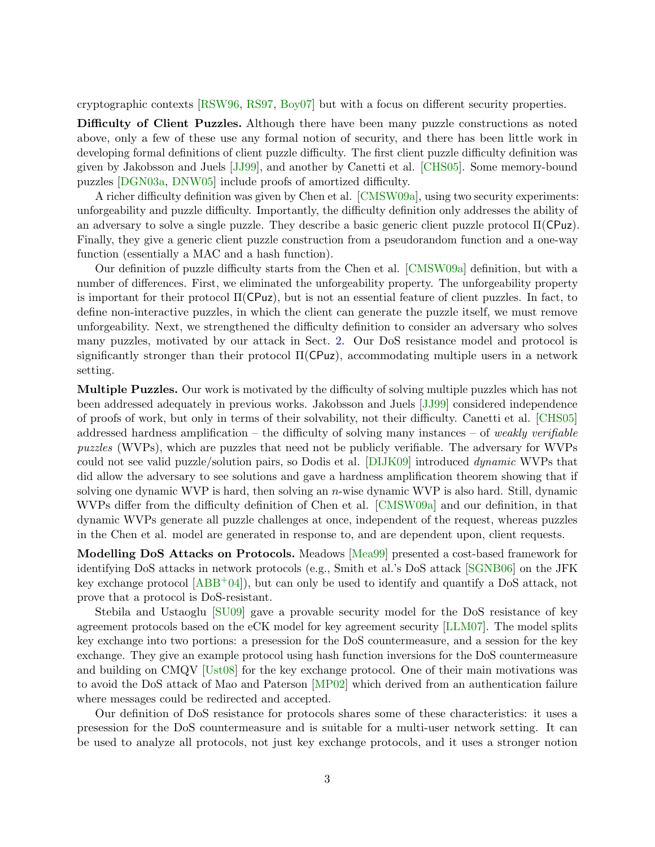cryptographic contexts [\[RSW96,](#page-17-4) [RS97,](#page-16-1) [Boy07\]](#page-14-4) but with a focus on different security properties.

Difficulty of Client Puzzles. Although there have been many puzzle constructions as noted above, only a few of these use any formal notion of security, and there has been little work in developing formal definitions of client puzzle difficulty. The first client puzzle difficulty definition was given by Jakobsson and Juels [\[JJ99\]](#page-16-0), and another by Canetti et al. [\[CHS05\]](#page-15-4). Some memory-bound puzzles [\[DGN03a,](#page-15-2) [DNW05\]](#page-15-3) include proofs of amortized difficulty.

A richer difficulty definition was given by Chen et al. [\[CMSW09a\]](#page-15-0), using two security experiments: unforgeability and puzzle difficulty. Importantly, the difficulty definition only addresses the ability of an adversary to solve a single puzzle. They describe a basic generic client puzzle protocol  $\Pi(\mathsf{C}Puz)$ . Finally, they give a generic client puzzle construction from a pseudorandom function and a one-way function (essentially a MAC and a hash function).

Our definition of puzzle difficulty starts from the Chen et al. [\[CMSW09a\]](#page-15-0) definition, but with a number of differences. First, we eliminated the unforgeability property. The unforgeability property is important for their protocol  $\Pi(CPuz)$ , but is not an essential feature of client puzzles. In fact, to define non-interactive puzzles, in which the client can generate the puzzle itself, we must remove unforgeability. Next, we strengthened the difficulty definition to consider an adversary who solves many puzzles, motivated by our attack in Sect. [2.](#page-3-0) Our DoS resistance model and protocol is significantly stronger than their protocol  $\Pi(\text{CPuz})$ , accommodating multiple users in a network setting.

Multiple Puzzles. Our work is motivated by the difficulty of solving multiple puzzles which has not been addressed adequately in previous works. Jakobsson and Juels [\[JJ99\]](#page-16-0) considered independence of proofs of work, but only in terms of their solvability, not their difficulty. Canetti et al. [\[CHS05\]](#page-15-4) addressed hardness amplification – the difficulty of solving many instances – of *weakly verifiable* puzzles (WVPs), which are puzzles that need not be publicly verifiable. The adversary for WVPs could not see valid puzzle/solution pairs, so Dodis et al. [\[DIJK09\]](#page-15-5) introduced dynamic WVPs that did allow the adversary to see solutions and gave a hardness amplification theorem showing that if solving one dynamic WVP is hard, then solving an n-wise dynamic WVP is also hard. Still, dynamic WVPs differ from the difficulty definition of Chen et al. [\[CMSW09a\]](#page-15-0) and our definition, in that dynamic WVPs generate all puzzle challenges at once, independent of the request, whereas puzzles in the Chen et al. model are generated in response to, and are dependent upon, client requests.

Modelling DoS Attacks on Protocols. Meadows [\[Mea99\]](#page-16-5) presented a cost-based framework for identifying DoS attacks in network protocols (e.g., Smith et al.'s DoS attack [\[SGNB06\]](#page-17-5) on the JFK key exchange protocol  $[ABB^+04]$  $[ABB^+04]$ , but can only be used to identify and quantify a DoS attack, not prove that a protocol is DoS-resistant.

Stebila and Ustaoglu [\[SU09\]](#page-17-0) gave a provable security model for the DoS resistance of key agreement protocols based on the eCK model for key agreement security [\[LLM07\]](#page-16-6). The model splits key exchange into two portions: a presession for the DoS countermeasure, and a session for the key exchange. They give an example protocol using hash function inversions for the DoS countermeasure and building on CMQV [\[Ust08\]](#page-17-6) for the key exchange protocol. One of their main motivations was to avoid the DoS attack of Mao and Paterson [\[MP02\]](#page-16-3) which derived from an authentication failure where messages could be redirected and accepted.

Our definition of DoS resistance for protocols shares some of these characteristics: it uses a presession for the DoS countermeasure and is suitable for a multi-user network setting. It can be used to analyze all protocols, not just key exchange protocols, and it uses a stronger notion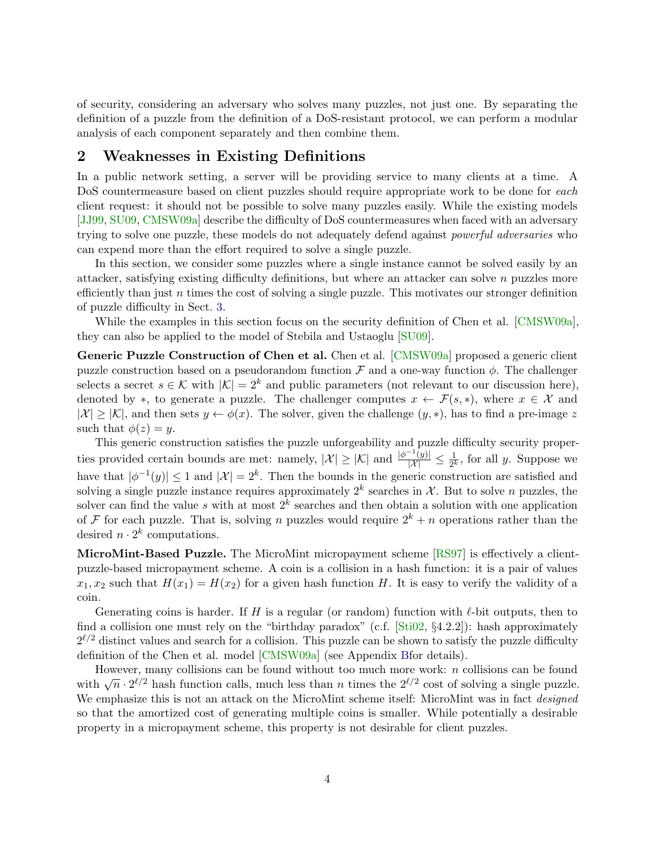of security, considering an adversary who solves many puzzles, not just one. By separating the definition of a puzzle from the definition of a DoS-resistant protocol, we can perform a modular analysis of each component separately and then combine them.

# <span id="page-3-0"></span>2 Weaknesses in Existing Definitions

In a public network setting, a server will be providing service to many clients at a time. A DoS countermeasure based on client puzzles should require appropriate work to be done for each client request: it should not be possible to solve many puzzles easily. While the existing models [\[JJ99,](#page-16-0) [SU09,](#page-17-0) [CMSW09a\]](#page-15-0) describe the difficulty of DoS countermeasures when faced with an adversary trying to solve one puzzle, these models do not adequately defend against *powerful adversaries* who can expend more than the effort required to solve a single puzzle.

In this section, we consider some puzzles where a single instance cannot be solved easily by an attacker, satisfying existing difficulty definitions, but where an attacker can solve  $n$  puzzles more efficiently than just n times the cost of solving a single puzzle. This motivates our stronger definition of puzzle difficulty in Sect. [3.](#page-4-0)

While the examples in this section focus on the security definition of Chen et al. [\[CMSW09a\]](#page-15-0), they can also be applied to the model of Stebila and Ustaoglu [\[SU09\]](#page-17-0).

Generic Puzzle Construction of Chen et al. Chen et al. [\[CMSW09a\]](#page-15-0) proposed a generic client puzzle construction based on a pseudorandom function  $\mathcal F$  and a one-way function  $\phi$ . The challenger selects a secret  $s \in \mathcal{K}$  with  $|\mathcal{K}| = 2^k$  and public parameters (not relevant to our discussion here), denoted by \*, to generate a puzzle. The challenger computes  $x \leftarrow \mathcal{F}(s, *)$ , where  $x \in \mathcal{X}$  and  $|\mathcal{X}| \geq |\mathcal{K}|$ , and then sets  $y \leftarrow \phi(x)$ . The solver, given the challenge  $(y, *)$ , has to find a pre-image z such that  $\phi(z) = y$ .

This generic construction satisfies the puzzle unforgeability and puzzle difficulty security properties provided certain bounds are met: namely,  $|\mathcal{X}| \geq |\mathcal{K}|$  and  $\frac{|\phi^{-1}(y)|}{|\mathcal{X}|} \leq \frac{1}{2^k}$  $\frac{1}{2^k}$ , for all y. Suppose we have that  $|\phi^{-1}(y)| \leq 1$  and  $|\mathcal{X}| = 2^k$ . Then the bounds in the generic construction are satisfied and solving a single puzzle instance requires approximately  $2^k$  searches in X. But to solve n puzzles, the solver can find the value s with at most  $2^k$  searches and then obtain a solution with one application of F for each puzzle. That is, solving n puzzles would require  $2^k + n$  operations rather than the desired  $n \cdot 2^k$  computations.

MicroMint-Based Puzzle. The MicroMint micropayment scheme [\[RS97\]](#page-16-1) is effectively a clientpuzzle-based micropayment scheme. A coin is a collision in a hash function: it is a pair of values  $x_1, x_2$  such that  $H(x_1) = H(x_2)$  for a given hash function H. It is easy to verify the validity of a coin.

Generating coins is harder. If H is a regular (or random) function with  $\ell$ -bit outputs, then to find a collision one must rely on the "birthday paradox" (c.f. [\[Sti02,](#page-17-7) §4.2.2]): hash approximately  $2^{\ell/2}$  distinct values and search for a collision. This puzzle can be shown to satisfy the puzzle difficulty definition of the Chen et al. model [\[CMSW09a\]](#page-15-0) (see Appendix [Bf](#page-19-0)or details).

However, many collisions can be found without too much more work:  $n$  collisions can be found with  $\sqrt{n} \cdot 2^{\ell/2}$  hash function calls, much less than n times the  $2^{\ell/2}$  cost of solving a single puzzle. We emphasize this is not an attack on the MicroMint scheme itself: MicroMint was in fact *designed* so that the amortized cost of generating multiple coins is smaller. While potentially a desirable property in a micropayment scheme, this property is not desirable for client puzzles.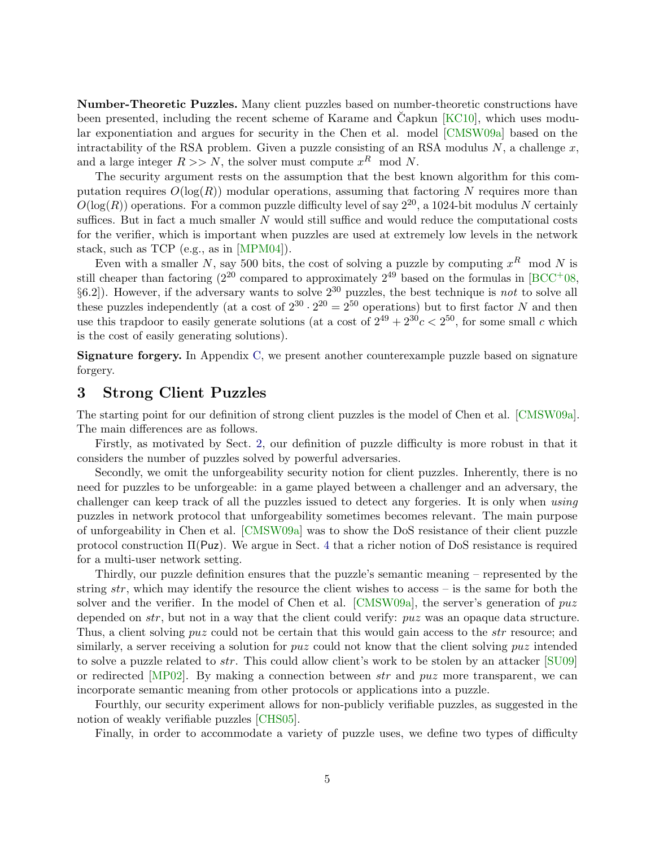Number-Theoretic Puzzles. Many client puzzles based on number-theoretic constructions have been presented, including the recent scheme of Karame and Capkun  $KCl<sub>10</sub>$ , which uses modular exponentiation and argues for security in the Chen et al. model [\[CMSW09a\]](#page-15-0) based on the intractability of the RSA problem. Given a puzzle consisting of an RSA modulus  $N$ , a challenge  $x$ , and a large integer  $R >> N$ , the solver must compute  $x<sup>R</sup>$  mod N.

The security argument rests on the assumption that the best known algorithm for this computation requires  $O(\log(R))$  modular operations, assuming that factoring N requires more than  $O(\log(R))$  operations. For a common puzzle difficulty level of say  $2^{20}$ , a 1024-bit modulus N certainly suffices. But in fact a much smaller N would still suffice and would reduce the computational costs for the verifier, which is important when puzzles are used at extremely low levels in the network stack, such as TCP (e.g., as in [\[MPM04\]](#page-16-7)).

Even with a smaller N, say 500 bits, the cost of solving a puzzle by computing  $x^R$  mod N is still cheaper than factoring  $(2^{20}$  compared to approximately  $2^{49}$  based on the formulas in [\[BCC](#page-14-6)+08,  $\S6.2$ ]). However, if the adversary wants to solve  $2^{30}$  puzzles, the best technique is not to solve all these puzzles independently (at a cost of  $2^{30} \cdot 2^{20} = 2^{50}$  operations) but to first factor N and then use this trapdoor to easily generate solutions (at a cost of  $2^{49} + 2^{30}c < 2^{50}$ , for some small c which is the cost of easily generating solutions).

Signature forgery. In Appendix [C,](#page-20-0) we present another counterexample puzzle based on signature forgery.

# <span id="page-4-0"></span>3 Strong Client Puzzles

The starting point for our definition of strong client puzzles is the model of Chen et al. [\[CMSW09a\]](#page-15-0). The main differences are as follows.

Firstly, as motivated by Sect. [2,](#page-3-0) our definition of puzzle difficulty is more robust in that it considers the number of puzzles solved by powerful adversaries.

Secondly, we omit the unforgeability security notion for client puzzles. Inherently, there is no need for puzzles to be unforgeable: in a game played between a challenger and an adversary, the challenger can keep track of all the puzzles issued to detect any forgeries. It is only when using puzzles in network protocol that unforgeability sometimes becomes relevant. The main purpose of unforgeability in Chen et al. [\[CMSW09a\]](#page-15-0) was to show the DoS resistance of their client puzzle protocol construction  $\Pi$ (Puz). We argue in Sect. [4](#page-9-0) that a richer notion of DoS resistance is required for a multi-user network setting.

Thirdly, our puzzle definition ensures that the puzzle's semantic meaning – represented by the string  $str$ , which may identify the resource the client wishes to access – is the same for both the solver and the verifier. In the model of Chen et al. [\[CMSW09a\]](#page-15-0), the server's generation of  $puz$ depended on *str*, but not in a way that the client could verify: *puz* was an opaque data structure. Thus, a client solving puz could not be certain that this would gain access to the *str* resource; and similarly, a server receiving a solution for puz could not know that the client solving puz intended to solve a puzzle related to str. This could allow client's work to be stolen by an attacker [\[SU09\]](#page-17-0) or redirected [\[MP02\]](#page-16-3). By making a connection between  $str$  and  $puz$  more transparent, we can incorporate semantic meaning from other protocols or applications into a puzzle.

Fourthly, our security experiment allows for non-publicly verifiable puzzles, as suggested in the notion of weakly verifiable puzzles [\[CHS05\]](#page-15-4).

Finally, in order to accommodate a variety of puzzle uses, we define two types of difficulty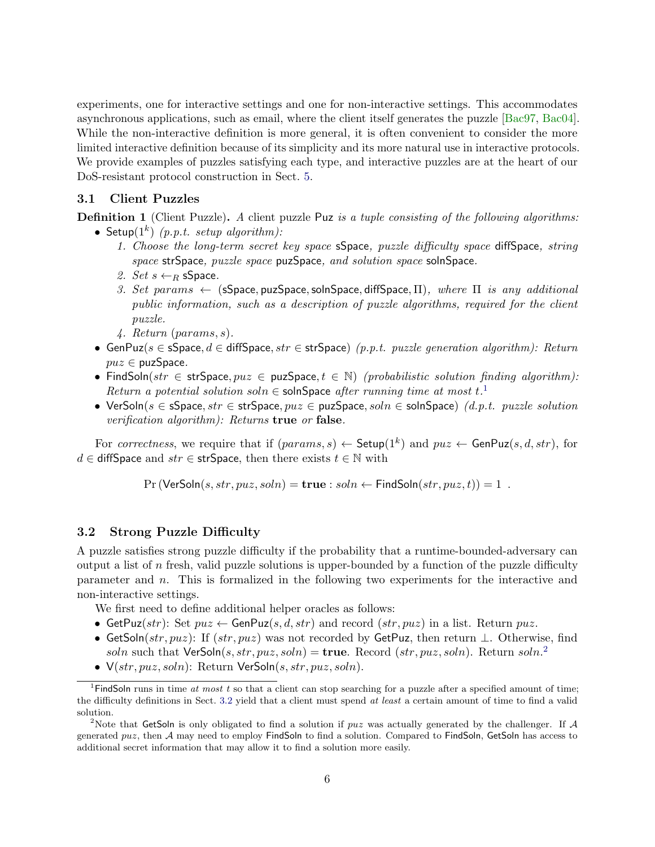experiments, one for interactive settings and one for non-interactive settings. This accommodates asynchronous applications, such as email, where the client itself generates the puzzle [\[Bac97,](#page-14-1) [Bac04\]](#page-14-3). While the non-interactive definition is more general, it is often convenient to consider the more limited interactive definition because of its simplicity and its more natural use in interactive protocols. We provide examples of puzzles satisfying each type, and interactive puzzles are at the heart of our DoS-resistant protocol construction in Sect. [5.](#page-11-0)

### <span id="page-5-3"></span>3.1 Client Puzzles

**Definition 1** (Client Puzzle). A client puzzle Puz is a tuple consisting of the following algorithms:

- Setup $(1^k)$  (p.p.t. setup algorithm):
	- 1. Choose the long-term secret key space sSpace, puzzle difficulty space diffSpace, string space strSpace, puzzle space puzSpace, and solution space solnSpace.
	- 2. Set  $s \leftarrow_R$  sSpace.
	- 3. Set params  $\leftarrow$  (sSpace, puzSpace, solnSpace, diffSpace,  $\Pi$ ), where  $\Pi$  is any additional public information, such as a description of puzzle algorithms, required for the client puzzle.
	- 4. Return (params, s).
- GenPuz(s  $\in$  sSpace,  $d \in$  diffSpace, str  $\in$  strSpace) (p.p.t. puzzle generation algorithm): Return  $puz \in \text{puzSpace}.$
- FindSoln(str  $\in$  strSpace,  $puz \in \text{puzSpace}, t \in \mathbb{N}$ ) (probabilistic solution finding algorithm): Return a potential solution soln  $\in$  solnSpace after running time at most t.<sup>[1](#page-5-0)</sup>
- VerSoln( $s \in s$ Space,  $str \in str$ Space,  $puz \in puz$ Space,  $soln \in soln$ Space) (d.p.t. puzzle solution verification algorithm): Returns true or false.

For correctness, we require that if  $(params, s) \leftarrow$  Setup $(1^k)$  and  $puz \leftarrow$  GenPuz $(s, d, str)$ , for  $d \in \text{diffSpace}$  and  $str \in \text{strSpace}$ , then there exists  $t \in \mathbb{N}$  with

 $Pr (VerSoln(s, str, puz, soln) = true : soln \leftarrow FindSoln(str, puz, t)) = 1$ .

### <span id="page-5-2"></span>3.2 Strong Puzzle Difficulty

A puzzle satisfies strong puzzle difficulty if the probability that a runtime-bounded-adversary can output a list of n fresh, valid puzzle solutions is upper-bounded by a function of the puzzle difficulty parameter and n. This is formalized in the following two experiments for the interactive and non-interactive settings.

We first need to define additional helper oracles as follows:

- GetPuz(str): Set  $puz \leftarrow$  GenPuz(s, d, str) and record (str, puz) in a list. Return puz.
- GetSoln(str, puz): If (str, puz) was not recorded by GetPuz, then return  $\perp$ . Otherwise, find soln such that VerSoln $(s, str, puz, soln) =$ true. Record  $(str, puz, soln)$ . Return soln.<sup>[2](#page-5-1)</sup>
- <span id="page-5-0"></span>•  $V(str, puz, soln)$ : Return VerSoln $(s, str, puz, soln)$ .

<span id="page-5-4"></span><sup>&</sup>lt;sup>1</sup>FindSoln runs in time at most t so that a client can stop searching for a puzzle after a specified amount of time; the difficulty definitions in Sect. [3.2](#page-5-2) yield that a client must spend at least a certain amount of time to find a valid solution.

<span id="page-5-1"></span><sup>&</sup>lt;sup>2</sup>Note that GetSoln is only obligated to find a solution if  $puz$  was actually generated by the challenger. If A generated  $puz$ , then A may need to employ FindSoln to find a solution. Compared to FindSoln, GetSoln has access to additional secret information that may allow it to find a solution more easily.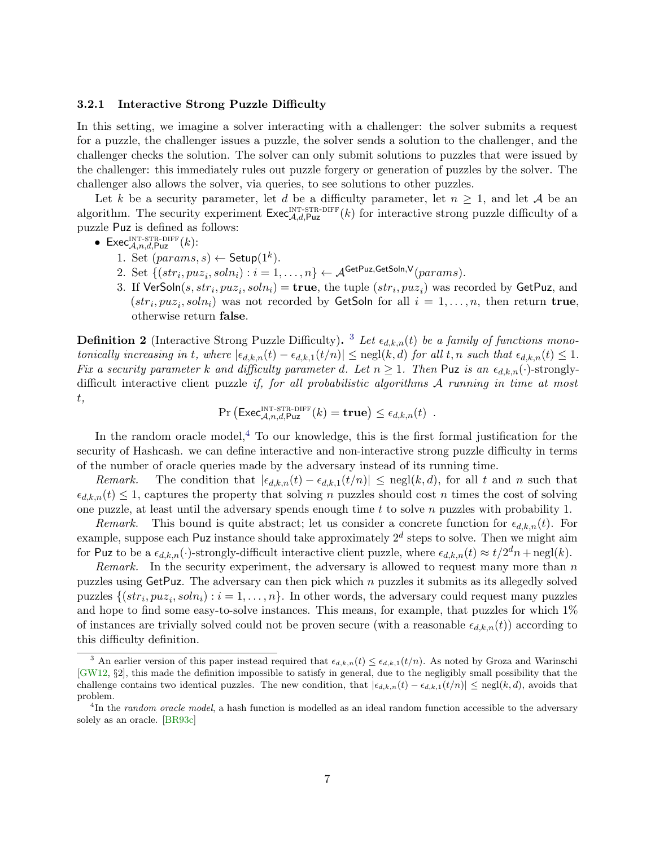### 3.2.1 Interactive Strong Puzzle Difficulty

In this setting, we imagine a solver interacting with a challenger: the solver submits a request for a puzzle, the challenger issues a puzzle, the solver sends a solution to the challenger, and the challenger checks the solution. The solver can only submit solutions to puzzles that were issued by the challenger: this immediately rules out puzzle forgery or generation of puzzles by the solver. The challenger also allows the solver, via queries, to see solutions to other puzzles.

Let k be a security parameter, let d be a difficulty parameter, let  $n \geq 1$ , and let A be an algorithm. The security experiment  $\mathsf{Exec}_{\mathcal{A},d,Puz}^{\text{INT-STR-DIFF}}(k)$  for interactive strong puzzle difficulty of a puzzle Puz is defined as follows:

- $\mathsf{Exec}_{\mathcal{A},n,d,\mathsf{Puz}}^{\text{INT-STR-DIFF}}(k)$ :
	- 1. Set  $(params, s) \leftarrow$  Setup $(1^k)$ .
	- 2. Set  $\{(str_i, puz_i, soln_i): i = 1, \ldots, n\} \leftarrow \mathcal{A}^{\mathsf{GetPuz},\mathsf{GetSoln},\mathsf{V}}(params).$
	- 3. If  $\mathsf{VerSoln}(s, str_i, puz_i, soln_i) = \mathbf{true}$ , the tuple  $(str_i, puz_i)$  was recorded by  $\mathsf{GetPuz}$ , and  $(str_i, puz_i, soln_i)$  was not recorded by GetSoln for all  $i = 1, ..., n$ , then return true, otherwise return false.

<span id="page-6-2"></span>**Definition 2** (Interactive Strong Puzzle Difficulty). <sup>[3](#page-6-0)</sup> Let  $\epsilon_{d,k,n}(t)$  be a family of functions monotonically increasing in t, where  $|\epsilon_{d,k,n}(t) - \epsilon_{d,k,1}(t/n)| \leq \text{negl}(k, d)$  for all t, n such that  $\epsilon_{d,k,n}(t) \leq 1$ . Fix a security parameter k and difficulty parameter d. Let  $n \geq 1$ . Then Puz is an  $\epsilon_{d,k,n}(\cdot)$ -stronglydifficult interactive client puzzle *if, for all probabilistic algorithms A running in time at most* t,

$$
\Pr\left(\mathsf{Exec}_{\mathcal{A},n,d,\mathsf{Puz}}^{\text{INT-STR-DIFF}}(k) = \mathbf{true}\right) \leq \epsilon_{d,k,n}(t) .
$$

In the random oracle model,  $4$  To our knowledge, this is the first formal justification for the security of Hashcash. we can define interactive and non-interactive strong puzzle difficulty in terms of the number of oracle queries made by the adversary instead of its running time.

Remark. The condition that  $|\epsilon_{d,k,n}(t) - \epsilon_{d,k,1}(t/n)| \leq \text{negl}(k, d)$ , for all t and n such that  $\epsilon_{d,k,n}(t) \leq 1$ , captures the property that solving *n* puzzles should cost *n* times the cost of solving one puzzle, at least until the adversary spends enough time  $t$  to solve  $n$  puzzles with probability 1.

Remark. This bound is quite abstract; let us consider a concrete function for  $\epsilon_{d,k,n}(t)$ . For example, suppose each Puz instance should take approximately  $2^d$  steps to solve. Then we might aim for Puz to be a  $\epsilon_{d,k,n}(\cdot)$ -strongly-difficult interactive client puzzle, where  $\epsilon_{d,k,n}(t) \approx t/2^dn + \text{negl}(k)$ .

*Remark.* In the security experiment, the adversary is allowed to request many more than  $n$ puzzles using  $GetPuz$ . The adversary can then pick which  $n$  puzzles it submits as its allegedly solved puzzles  $\{(str_i, puz_i, soln_i) : i = 1, \ldots, n\}$ . In other words, the adversary could request many puzzles and hope to find some easy-to-solve instances. This means, for example, that puzzles for which 1% of instances are trivially solved could not be proven secure (with a reasonable  $\epsilon_{d,k,n}(t)$ ) according to this difficulty definition.

<span id="page-6-0"></span><sup>&</sup>lt;sup>3</sup> An earlier version of this paper instead required that  $\epsilon_{d,k,n}(t) \leq \epsilon_{d,k,1}(t/n)$ . As noted by Groza and Warinschi [\[GW12,](#page-16-8) §2], this made the definition impossible to satisfy in general, due to the negligibly small possibility that the challenge contains two identical puzzles. The new condition, that  $|\epsilon_{d,k,n}(t) - \epsilon_{d,k,1}(t/n)| \leq \text{negl}(k, d)$ , avoids that problem.

<span id="page-6-1"></span><sup>&</sup>lt;sup>4</sup>In the *random oracle model*, a hash function is modelled as an ideal random function accessible to the adversary solely as an oracle. [\[BR93c\]](#page-15-6)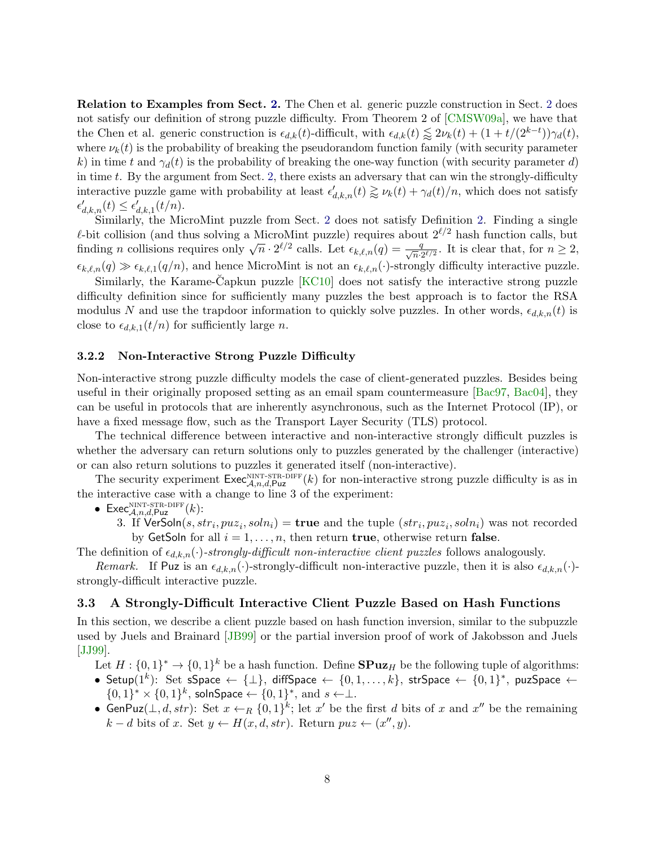Relation to Examples from Sect. [2.](#page-3-0) The Chen et al. generic puzzle construction in Sect. [2](#page-3-0) does not satisfy our definition of strong puzzle difficulty. From Theorem 2 of [\[CMSW09a\]](#page-15-0), we have that the Chen et al. generic construction is  $\epsilon_{d,k}(t)$ -difficult, with  $\epsilon_{d,k}(t) \lesssim 2\nu_k(t) + (1 + t/(2^{k-t}))\gamma_d(t)$ , where  $\nu_k(t)$  is the probability of breaking the pseudorandom function family (with security parameter k) in time t and  $\gamma_d(t)$  is the probability of breaking the one-way function (with security parameter d) in time  $t$ . By the argument from Sect. [2,](#page-3-0) there exists an adversary that can win the strongly-difficulty interactive puzzle game with probability at least  $\epsilon'_{d,k,n}(t) \gtrapprox \nu_k(t) + \gamma_d(t)/n$ , which does not satisfy  $\epsilon'_{d,k,n}(t) \leq \epsilon'_{d,k,1}(t/n).$ 

Similarly, the MicroMint puzzle from Sect. [2](#page-3-0) does not satisfy Definition [2.](#page-6-2) Finding a single  $\ell$ -bit collision (and thus solving a MicroMint puzzle) requires about  $2^{\ell/2}$  hash function calls, but the common value of the contraction of the contraction of the contraction of the form of the finding n collisions requires only  $\sqrt{n} \cdot 2^{\ell/2}$  calls. Let  $\epsilon_{k,\ell,n}(q) = \frac{q}{\sqrt{n} \cdot 2^{\ell/2}}$ . It is clear that, for  $n \geq 2$ ,  $\epsilon_{k,\ell,n}(q) \gg \epsilon_{k,\ell,1}(q/n)$ , and hence MicroMint is not an  $\epsilon_{k,\ell,n}(\cdot)$ -strongly difficulty interactive puzzle.

Similarly, the Karame-Capkun puzzle  $KCl<sub>0</sub>$  does not satisfy the interactive strong puzzle difficulty definition since for sufficiently many puzzles the best approach is to factor the RSA modulus N and use the trapdoor information to quickly solve puzzles. In other words,  $\epsilon_{d,k,n}(t)$  is close to  $\epsilon_{d,k,1}(t/n)$  for sufficiently large n.

#### 3.2.2 Non-Interactive Strong Puzzle Difficulty

Non-interactive strong puzzle difficulty models the case of client-generated puzzles. Besides being useful in their originally proposed setting as an email spam countermeasure [\[Bac97,](#page-14-1) [Bac04\]](#page-14-3), they can be useful in protocols that are inherently asynchronous, such as the Internet Protocol (IP), or have a fixed message flow, such as the Transport Layer Security (TLS) protocol.

The technical difference between interactive and non-interactive strongly difficult puzzles is whether the adversary can return solutions only to puzzles generated by the challenger (interactive) or can also return solutions to puzzles it generated itself (non-interactive).

The security experiment  $\mathsf{Exec}_{\mathcal{A},n,d,\mathsf{Puz}}^{\text{NINT-STR-DIFF}}(k)$  for non-interactive strong puzzle difficulty is as in the interactive case with a change to line 3 of the experiment:

• Exec $\mathcal{L}_{\mathcal{A},n,d,\text{Puz}}^{\text{NINT-STR-DIFF}}(k)$ :

3. If  $\mathsf{VerSoln}(s, str_i, puz_i, soln_i) = \mathbf{true}$  and the tuple  $(str_i, puz_i, soln_i)$  was not recorded by GetSoln for all  $i = 1, \ldots, n$ , then return **true**, otherwise return **false**.

The definition of  $\epsilon_{d,k,n}(\cdot)$ -strongly-difficult non-interactive client puzzles follows analogously.

Remark. If Puz is an  $\epsilon_{d,k,n}(\cdot)$ -strongly-difficult non-interactive puzzle, then it is also  $\epsilon_{d,k,n}(\cdot)$ strongly-difficult interactive puzzle.

### <span id="page-7-0"></span>3.3 A Strongly-Difficult Interactive Client Puzzle Based on Hash Functions

In this section, we describe a client puzzle based on hash function inversion, similar to the subpuzzle used by Juels and Brainard [\[JB99\]](#page-16-4) or the partial inversion proof of work of Jakobsson and Juels [\[JJ99\]](#page-16-0).

Let  $H: \{0,1\}^* \to \{0,1\}^k$  be a hash function. Define  $\text{SPuz}_H$  be the following tuple of algorithms:

- Setup $(1^k)$ : Set sSpace ← { $\perp$ }, diffSpace ← { $0,1,\ldots,k$ }, strSpace ← { $0,1$ }\*, puzSpace ←  ${0,1}^* \times {0,1}^k$ , solnSpace ←  ${0,1}^*$ , and  $s \leftarrow \perp$ .
- GenPuz( $\perp, d, str$ ): Set  $x \leftarrow_R \{0,1\}^k$ ; let  $x'$  be the first d bits of x and  $x''$  be the remaining  $k - d$  bits of x. Set  $y \leftarrow H(x, d, str)$ . Return  $puz \leftarrow (x'', y)$ .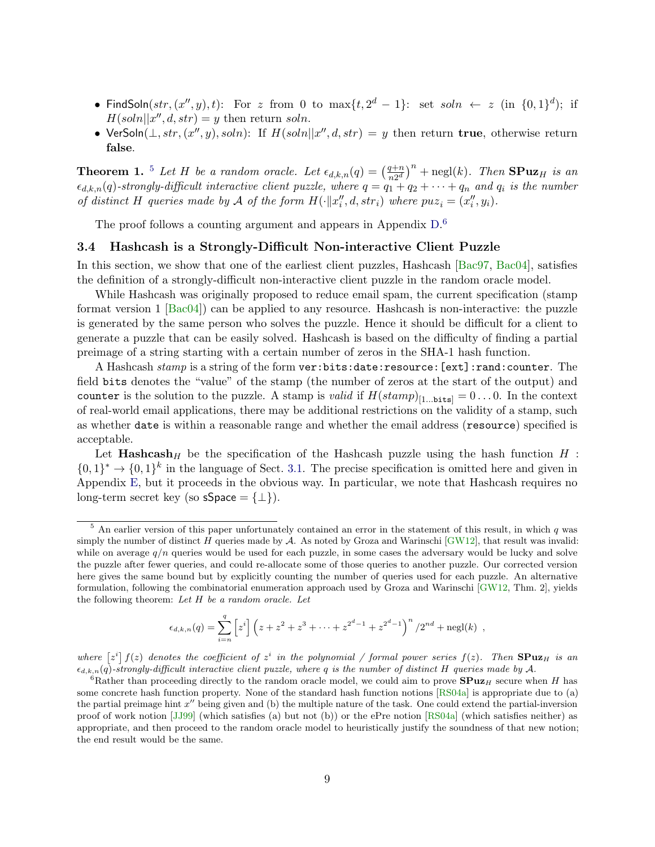- FindSoln $(str, (x'', y), t)$ : For z from 0 to  $\max\{t, 2^d 1\}$ : set  $soln \leftarrow z$  (in  $\{0, 1\}^d$ ); if  $H(soln||x'', d, str) = y$  then return soln.
- VerSoln $(\perp, str, (x'', y), soln)$ : If  $H(soln||x'', d, str) = y$  then return true, otherwise return false.

<span id="page-8-2"></span>**Theorem 1.** <sup>[5](#page-8-0)</sup> Let H be a random oracle. Let  $\epsilon_{d,k,n}(q) = \left(\frac{q+n}{n^{2d}}\right)^{n}$  $\left(\frac{q+n}{n2^d}\right)^n$  + negl(k). Then **SPuz**H is an  $\epsilon_{d,k,n}(q)$ -strongly-difficult interactive client puzzle, where  $q = q_1 + q_2 + \cdots + q_n$  and  $q_i$  is the number of distinct H queries made by A of the form  $H(\cdot || x''_i, d, str_i)$  where  $puz_i = (x''_i, y_i)$ .

The proof follows a counting argument and appears in Appendix  $D^6$  $D^6$ .

### 3.4 Hashcash is a Strongly-Difficult Non-interactive Client Puzzle

In this section, we show that one of the earliest client puzzles, Hashcash [\[Bac97,](#page-14-1) [Bac04\]](#page-14-3), satisfies the definition of a strongly-difficult non-interactive client puzzle in the random oracle model.

While Hashcash was originally proposed to reduce email spam, the current specification (stamp format version 1 [\[Bac04\]](#page-14-3)) can be applied to any resource. Hashcash is non-interactive: the puzzle is generated by the same person who solves the puzzle. Hence it should be difficult for a client to generate a puzzle that can be easily solved. Hashcash is based on the difficulty of finding a partial preimage of a string starting with a certain number of zeros in the SHA-1 hash function.

A Hashcash  $stamp$  is a string of the form  $\mathtt{ver:bits:date:resource:[ext]:rand:counter.}$  The field bits denotes the "value" of the stamp (the number of zeros at the start of the output) and counter is the solution to the puzzle. A stamp is *valid* if  $H(stamp)_{[1...bits]} = 0...0$ . In the context of real-world email applications, there may be additional restrictions on the validity of a stamp, such as whether date is within a reasonable range and whether the email address (resource) specified is acceptable.

Let  $\textbf{Hashcash}_H$  be the specification of the Hashcash puzzle using the hash function  $H$  :  $\{0,1\}^* \to \{0,1\}^k$  in the language of Sect. [3.1.](#page-5-3) The precise specification is omitted here and given in Appendix [E,](#page-24-0) but it proceeds in the obvious way. In particular, we note that Hashcash requires no long-term secret key (so sSpace =  $\{\perp\}$ ).

$$
\epsilon_{d,k,n}(q) = \sum_{i=n}^{q} \left[ z^{i} \right] \left( z + z^{2} + z^{3} + \dots + z^{2^{d}-1} + z^{2^{d}-1} \right)^{n} / 2^{nd} + \text{negl}(k) ,
$$

where  $[z^i] f(z)$  denotes the coefficient of  $z^i$  in the polynomial / formal power series  $f(z)$ . Then  ${\rm SPuz}_H$  is an  $\epsilon_{d,k,n}(q)$ -strongly-difficult interactive client puzzle, where q is the number of distinct H queries made by A.

<span id="page-8-0"></span> $5$  An earlier version of this paper unfortunately contained an error in the statement of this result, in which  $q$  was simply the number of distinct H queries made by  $A$ . As noted by Groza and Warinschi  $\text{[GW12]}$  $\text{[GW12]}$  $\text{[GW12]}$ , that result was invalid: while on average  $q/n$  queries would be used for each puzzle, in some cases the adversary would be lucky and solve the puzzle after fewer queries, and could re-allocate some of those queries to another puzzle. Our corrected version here gives the same bound but by explicitly counting the number of queries used for each puzzle. An alternative formulation, following the combinatorial enumeration approach used by Groza and Warinschi [\[GW12,](#page-16-8) Thm. 2], yields the following theorem: Let  $H$  be a random oracle. Let

<span id="page-8-1"></span><sup>&</sup>lt;sup>6</sup>Rather than proceeding directly to the random oracle model, we could aim to prove  $\text{SPuz}_H$  secure when H has some concrete hash function property. None of the standard hash function notions [\[RS04a\]](#page-16-9) is appropriate due to (a) the partial preimage hint  $x''$  being given and (b) the multiple nature of the task. One could extend the partial-inversion proof of work notion [\[JJ99\]](#page-16-0) (which satisfies (a) but not (b)) or the ePre notion [\[RS04a\]](#page-16-9) (which satisfies neither) as appropriate, and then proceed to the random oracle model to heuristically justify the soundness of that new notion; the end result would be the same.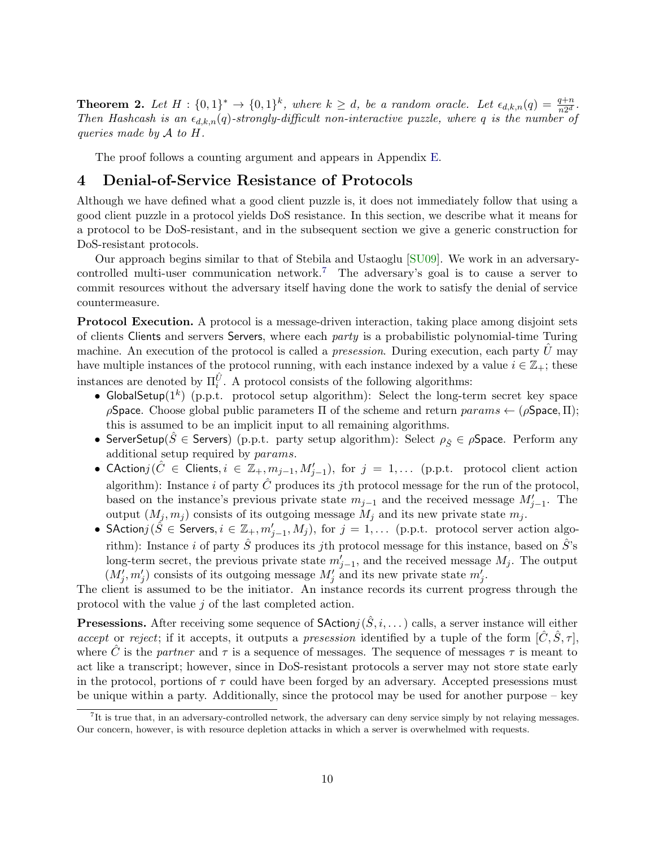<span id="page-9-2"></span>**Theorem 2.** Let  $H: \{0,1\}^k \to \{0,1\}^k$ , where  $k \geq d$ , be a random oracle. Let  $\epsilon_{d,k,n}(q) = \frac{q+n}{n2^d}$ . Then Hashcash is an  $\epsilon_{d,k,n}(q)$ -strongly-difficult non-interactive puzzle, where q is the number of queries made by  $A$  to  $H$ .

The proof follows a counting argument and appears in Appendix [E.](#page-24-0)

# <span id="page-9-0"></span>4 Denial-of-Service Resistance of Protocols

Although we have defined what a good client puzzle is, it does not immediately follow that using a good client puzzle in a protocol yields DoS resistance. In this section, we describe what it means for a protocol to be DoS-resistant, and in the subsequent section we give a generic construction for DoS-resistant protocols.

Our approach begins similar to that of Stebila and Ustaoglu [\[SU09\]](#page-17-0). We work in an adversary-controlled multi-user communication network.<sup>[7](#page-9-1)</sup> The adversary's goal is to cause a server to commit resources without the adversary itself having done the work to satisfy the denial of service countermeasure.

Protocol Execution. A protocol is a message-driven interaction, taking place among disjoint sets of clients Clients and servers Servers, where each *party* is a probabilistic polynomial-time Turing machine. An execution of the protocol is called a *presession*. During execution, each party  $U$  may have multiple instances of the protocol running, with each instance indexed by a value  $i \in \mathbb{Z}_+$ ; these instances are denoted by  $\Pi_i^{\hat{U}}$ . A protocol consists of the following algorithms:

- GlobalSetup( $1^k$ ) (p.p.t. protocol setup algorithm): Select the long-term secret key space  $ρ$ Space. Choose global public parameters Π of the scheme and return  $params \leftarrow (ρ$ Space, Π); this is assumed to be an implicit input to all remaining algorithms.
- ServerSetup( $\hat{S} \in$  Servers) (p.p.t. party setup algorithm): Select  $\rho_{\hat{S}} \in \rho$ Space. Perform any additional setup required by params.
- CAction $j(\hat{C} \in \textsf{Clients}, i \in \mathbb{Z}_{+}, m_{j-1}, M'_{j-1}), \text{ for } j = 1, \dots$  (p.p.t. protocol client action algorithm): Instance  $i$  of party  $C$  produces its jth protocol message for the run of the protocol, based on the instance's previous private state  $m_{j-1}$  and the received message  $M'_{j-1}$ . The output  $(M_j, m_j)$  consists of its outgoing message  $M_j$  and its new private state  $m_j$ .
- SAction $j(\hat{S} \in \hat{\mathsf{S}}$ ervers,  $i \in \mathbb{Z}_{+}, m'_{j-1}, M_j)$ , for  $j = 1, \ldots$  (p.p.t. protocol server action algorithm): Instance i of party  $\tilde{S}$  produces its jth protocol message for this instance, based on  $\tilde{S}$ 's long-term secret, the previous private state  $m'_{j-1}$ , and the received message  $M_j$ . The output  $(M'_j, m'_j)$  consists of its outgoing message  $M'_j$  and its new private state  $m'_j$ .

The client is assumed to be the initiator. An instance records its current progress through the protocol with the value j of the last completed action.

**Presessions.** After receiving some sequence of  $\mathsf{SAction}(S, i, \dots)$  calls, a server instance will either accept or reject; if it accepts, it outputs a presession identified by a tuple of the form  $[\hat{C}, \hat{S}, \tau]$ , where C is the partner and  $\tau$  is a sequence of messages. The sequence of messages  $\tau$  is meant to act like a transcript; however, since in DoS-resistant protocols a server may not store state early in the protocol, portions of  $\tau$  could have been forged by an adversary. Accepted presessions must be unique within a party. Additionally, since the protocol may be used for another purpose – key

<span id="page-9-1"></span><sup>7</sup> It is true that, in an adversary-controlled network, the adversary can deny service simply by not relaying messages. Our concern, however, is with resource depletion attacks in which a server is overwhelmed with requests.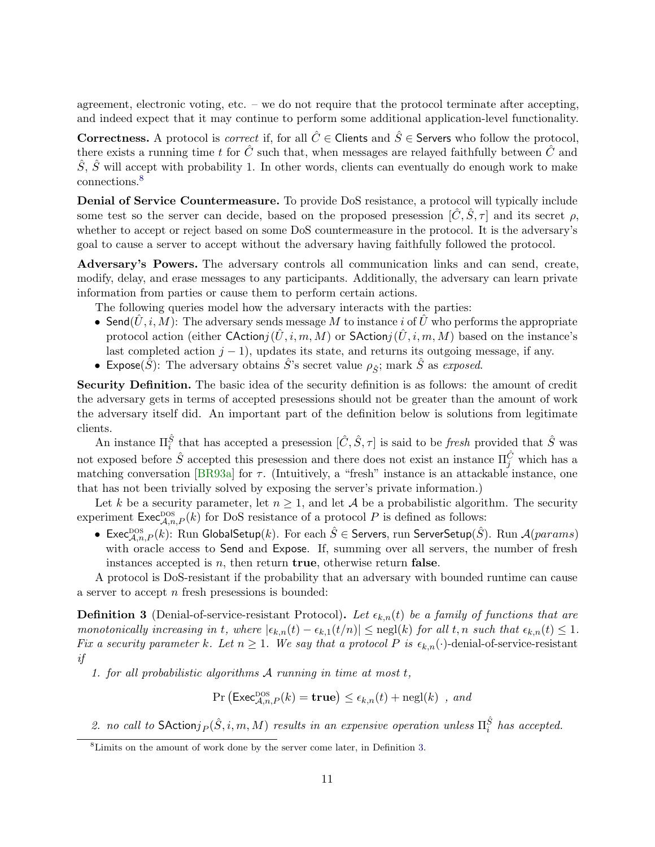agreement, electronic voting, etc. – we do not require that the protocol terminate after accepting, and indeed expect that it may continue to perform some additional application-level functionality.

**Correctness.** A protocol is *correct* if, for all  $\hat{C} \in$  Clients and  $\hat{S} \in$  Servers who follow the protocol, there exists a running time t for  $\hat{C}$  such that, when messages are relayed faithfully between  $\hat{C}$  and  $\hat{S}, \hat{S}$  will accept with probability 1. In other words, clients can eventually do enough work to make connections.[8](#page-10-0)

Denial of Service Countermeasure. To provide DoS resistance, a protocol will typically include some test so the server can decide, based on the proposed presession  $[\tilde{C}, \tilde{S}, \tau]$  and its secret  $\rho$ , whether to accept or reject based on some DoS countermeasure in the protocol. It is the adversary's goal to cause a server to accept without the adversary having faithfully followed the protocol.

Adversary's Powers. The adversary controls all communication links and can send, create, modify, delay, and erase messages to any participants. Additionally, the adversary can learn private information from parties or cause them to perform certain actions.

The following queries model how the adversary interacts with the parties:

- Send $(\tilde{U}, i, M)$ : The adversary sends message M to instance i of  $\tilde{U}$  who performs the appropriate protocol action (either CActionj $(\tilde{U}, i, m, M)$  or SActionj $(\tilde{U}, i, m, M)$  based on the instance's last completed action  $j - 1$ ), updates its state, and returns its outgoing message, if any.
- Expose( $\hat{S}$ ): The adversary obtains  $\hat{S}$ 's secret value  $\rho_{\hat{S}}$ ; mark  $\hat{S}$  as exposed.

Security Definition. The basic idea of the security definition is as follows: the amount of credit the adversary gets in terms of accepted presessions should not be greater than the amount of work the adversary itself did. An important part of the definition below is solutions from legitimate clients.

An instance  $\Pi_i^{\hat{S}}$  that has accepted a presession  $[\hat{C}, \hat{S}, \tau]$  is said to be *fresh* provided that  $\hat{S}$  was not exposed before  $\hat{S}$  accepted this presession and there does not exist an instance  $\Pi_j^{\hat{C}}$  which has a matching conversation [\[BR93a\]](#page-14-7) for  $\tau$ . (Intuitively, a "fresh" instance is an attackable instance, one that has not been trivially solved by exposing the server's private information.)

Let k be a security parameter, let  $n \geq 1$ , and let A be a probabilistic algorithm. The security experiment  $\mathsf{Exec}_{\mathcal{A},n,P}^{\text{DOS}}(k)$  for DoS resistance of a protocol P is defined as follows:

 $\bullet\;\text{Exec}_{\mathcal{A},n,P}^{\text{DOS}}(k)$ : Run GlobalSetup $(k)$ . For each  $\hat{S}\in\text{Servers},$  run ServerSetup $(\hat{S})$ . Run  $\mathcal{A}(params)$ with oracle access to Send and Expose. If, summing over all servers, the number of fresh instances accepted is  $n$ , then return **true**, otherwise return **false**.

A protocol is DoS-resistant if the probability that an adversary with bounded runtime can cause a server to accept n fresh presessions is bounded:

<span id="page-10-1"></span>**Definition 3** (Denial-of-service-resistant Protocol). Let  $\epsilon_{k,n}(t)$  be a family of functions that are monotonically increasing in t, where  $|\epsilon_{k,n}(t) - \epsilon_{k,1}(t/n)| \leq \text{negl}(k)$  for all t, n such that  $\epsilon_{k,n}(t) \leq 1$ . Fix a security parameter k. Let  $n \geq 1$ . We say that a protocol P is  $\epsilon_{k,n}(\cdot)$ -denial-of-service-resistant if

1. for all probabilistic algorithms  $A$  running in time at most  $t$ ,

$$
\Pr\left(\mathsf{Exec}_{\mathcal{A},n,P}^{\text{DOS}}(k) = \mathbf{true}\right) \le \epsilon_{k,n}(t) + \text{negl}(k) \text{ , and}
$$

2. no call to SAction $j_P(\hat{S}, i, m, M)$  results in an expensive operation unless  $\Pi_i^{\hat{S}}$  has accepted.

<span id="page-10-0"></span><sup>8</sup>Limits on the amount of work done by the server come later, in Definition [3.](#page-10-1)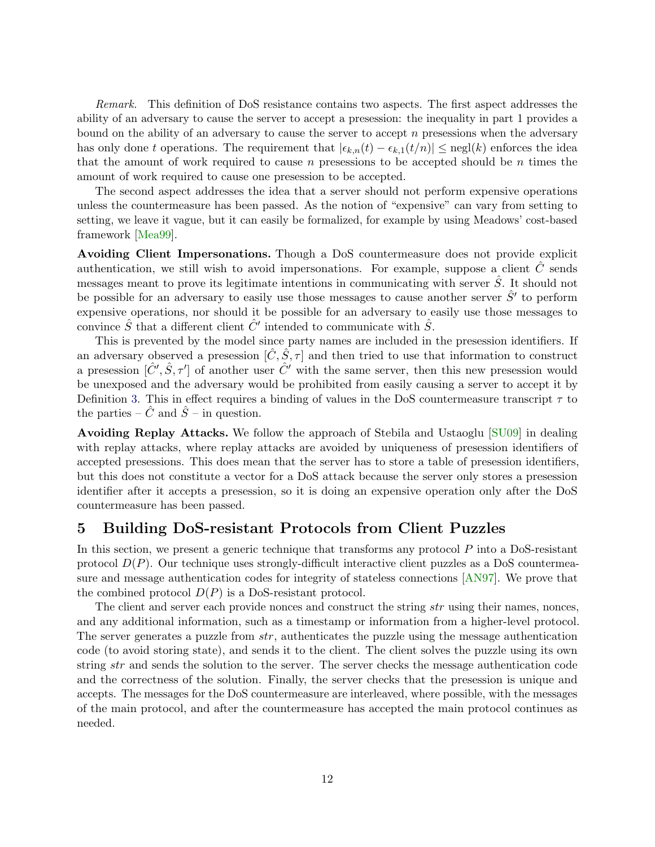Remark. This definition of DoS resistance contains two aspects. The first aspect addresses the ability of an adversary to cause the server to accept a presession: the inequality in part 1 provides a bound on the ability of an adversary to cause the server to accept  $n$  presessions when the adversary has only done t operations. The requirement that  $|\epsilon_{k,n}(t) - \epsilon_{k,1}(t/n)| \leq \text{negl}(k)$  enforces the idea that the amount of work required to cause n presessions to be accepted should be n times the amount of work required to cause one presession to be accepted.

The second aspect addresses the idea that a server should not perform expensive operations unless the countermeasure has been passed. As the notion of "expensive" can vary from setting to setting, we leave it vague, but it can easily be formalized, for example by using Meadows' cost-based framework [\[Mea99\]](#page-16-5).

Avoiding Client Impersonations. Though a DoS countermeasure does not provide explicit authentication, we still wish to avoid impersonations. For example, suppose a client  $C$  sends messages meant to prove its legitimate intentions in communicating with server  $\hat{S}$ . It should not be possible for an adversary to easily use those messages to cause another server  $\hat{S}'$  to perform expensive operations, nor should it be possible for an adversary to easily use those messages to convince  $\hat{S}$  that a different client  $\hat{C}'$  intended to communicate with  $\hat{S}$ .

This is prevented by the model since party names are included in the presession identifiers. If an adversary observed a presession  $[\hat{C}, \hat{S}, \tau]$  and then tried to use that information to construct a presession  $[\hat{C}', \hat{S}, \tau']$  of another user  $\hat{C}'$  with the same server, then this new presession would be unexposed and the adversary would be prohibited from easily causing a server to accept it by Definition [3.](#page-10-1) This in effect requires a binding of values in the DoS countermeasure transcript  $\tau$  to the parties –  $\hat{C}$  and  $\hat{S}$  – in question.

Avoiding Replay Attacks. We follow the approach of Stebila and Ustaoglu [\[SU09\]](#page-17-0) in dealing with replay attacks, where replay attacks are avoided by uniqueness of presession identifiers of accepted presessions. This does mean that the server has to store a table of presession identifiers, but this does not constitute a vector for a DoS attack because the server only stores a presession identifier after it accepts a presession, so it is doing an expensive operation only after the DoS countermeasure has been passed.

# <span id="page-11-0"></span>5 Building DoS-resistant Protocols from Client Puzzles

In this section, we present a generic technique that transforms any protocol  $P$  into a DoS-resistant protocol  $D(P)$ . Our technique uses strongly-difficult interactive client puzzles as a DoS countermeasure and message authentication codes for integrity of stateless connections [\[AN97\]](#page-14-8). We prove that the combined protocol  $D(P)$  is a DoS-resistant protocol.

The client and server each provide nonces and construct the string *str* using their names, nonces, and any additional information, such as a timestamp or information from a higher-level protocol. The server generates a puzzle from  $str$ , authenticates the puzzle using the message authentication code (to avoid storing state), and sends it to the client. The client solves the puzzle using its own string str and sends the solution to the server. The server checks the message authentication code and the correctness of the solution. Finally, the server checks that the presession is unique and accepts. The messages for the DoS countermeasure are interleaved, where possible, with the messages of the main protocol, and after the countermeasure has accepted the main protocol continues as needed.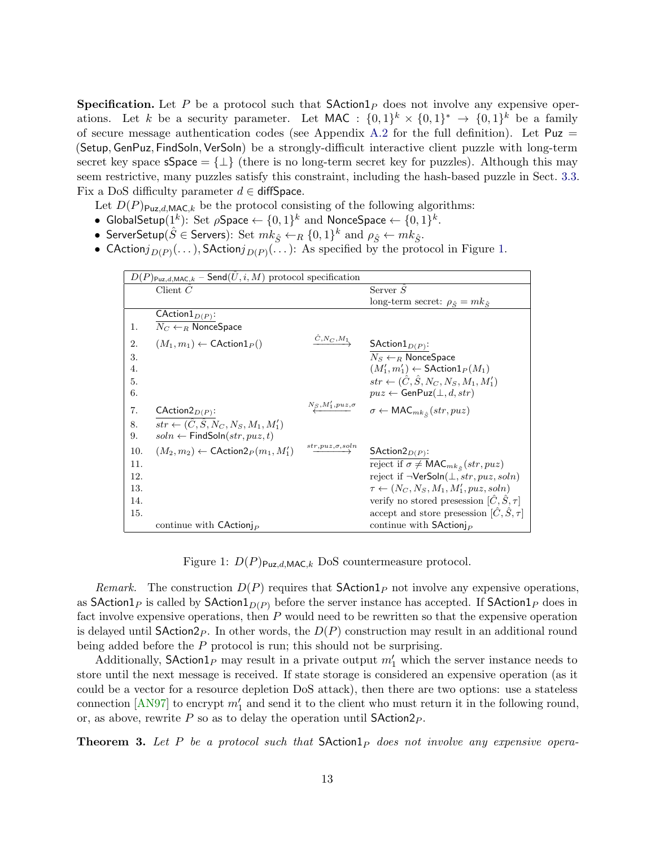**Specification.** Let P be a protocol such that  $\mathsf{SAction1}_P$  does not involve any expensive operations. Let k be a security parameter. Let MAC :  $\{0,1\}^k \times \{0,1\}^k \rightarrow \{0,1\}^k$  be a family of secure message authentication codes (see Appendix [A.2](#page-17-8) for the full definition). Let  $Puz =$ (Setup, GenPuz, FindSoln, VerSoln) be a strongly-difficult interactive client puzzle with long-term secret key space  $\mathsf{sSpace} = \{\perp\}$  (there is no long-term secret key for puzzles). Although this may seem restrictive, many puzzles satisfy this constraint, including the hash-based puzzle in Sect. [3.3.](#page-7-0) Fix a DoS difficulty parameter  $d \in \text{diffSpace}$ .

Let  $D(P)_{\text{Puz},d,\text{MAC},k}$  be the protocol consisting of the following algorithms:

- GlobalSetup $(1^k)$ : Set  $\rho$ Space  $\leftarrow \{0,1\}^k$  and NonceSpace  $\leftarrow \{0,1\}^k$ .
- ServerSetup $(\hat{S} \in \mathsf{Servers})$ : Set  $mk_{\hat{S}} \leftarrow_R \{0,1\}^k$  and  $\rho_{\hat{S}} \leftarrow mk_{\hat{S}}$ .
- CAction $j_{D(P)}(\dots)$ , SAction $j_{D(P)}(\dots)$ : As specified by the protocol in Figure [1.](#page-12-0)

| $D(P)_{\text{Puz},d,\text{MAC},k}$ – Send $(\hat{U},i,M)$ protocol specification |                                                              |                                      |                                                               |
|----------------------------------------------------------------------------------|--------------------------------------------------------------|--------------------------------------|---------------------------------------------------------------|
|                                                                                  | Client $C$                                                   |                                      | Server $S$                                                    |
|                                                                                  |                                                              |                                      | long-term secret: $\rho_{\hat{S}} = mk_{\hat{S}}$             |
|                                                                                  | CAction $1_{D(P)}$ :                                         |                                      |                                                               |
| 1.                                                                               | $N_C \leftarrow_R \text{NonceSpace}$                         |                                      |                                                               |
| 2.                                                                               | $(M_1, m_1) \leftarrow \text{CAction1}_P()$                  | $\overrightarrow{C}$ , $N_C$ , $M_1$ | SAction $1_{D(P)}$ :                                          |
| 3.                                                                               |                                                              |                                      | $N_S \leftarrow_B \textsf{NonceSpace}$                        |
| 4.                                                                               |                                                              |                                      | $(M'_1, m'_1) \leftarrow \mathsf{SAction1}_P(M_1)$            |
| 5.                                                                               |                                                              |                                      | $str \leftarrow (\hat{C}, \hat{S}, N_C, N_S, M_1, M'_1)$      |
| 6.                                                                               |                                                              |                                      | $puz \leftarrow$ GenPuz $(\perp, d, str)$                     |
| 7.                                                                               | $\mathsf{CAction2}_{D(P)}$ :                                 | $N_S, M'_1, puz, \sigma$             | $\sigma \leftarrow \textsf{MAC}_{mk_{\hat{S}}}(str, puz)$     |
| 8.                                                                               | $str \leftarrow (\tilde{C}, \tilde{S}, N_C, N_S, M_1, M'_1)$ |                                      |                                                               |
| 9.                                                                               | $soln \leftarrow$ FindSoln $(str, puz, t)$                   |                                      |                                                               |
| 10.                                                                              | $(M_2,m_2) \leftarrow \mathsf{CAction2}_P(m_1,M'_1)$         | $str, puz, \sigma, soln$             | SAction $2_{D(P)}$ :                                          |
| 11.                                                                              |                                                              |                                      | reject if $\sigma \neq \mathsf{MAC}_{mk_{\hat{e}}}(str, puz)$ |
| 12.                                                                              |                                                              |                                      | reject if $\neg$ VerSoln $(\bot, str, puz, soln)$             |
| 13.                                                                              |                                                              |                                      | $\tau \leftarrow (N_C, N_S, M_1, M'_1, puz, soln)$            |
| 14.                                                                              |                                                              |                                      | verify no stored presession $[\hat{C}, \hat{S}, \tau]$        |
| 15.                                                                              |                                                              |                                      | accept and store presession $[\hat{C}, \hat{S}, \tau]$        |
|                                                                                  | continue with $C$ Action                                     |                                      | continue with $S$ Action                                      |

<span id="page-12-0"></span>Figure 1:  $D(P)_{\text{Puz},d,\text{MAC},k}$  DoS countermeasure protocol.

Remark. The construction  $D(P)$  requires that **SAction** 1<sub>P</sub> not involve any expensive operations, as SAction1<sub>P</sub> is called by SAction1<sub>D(P)</sub> before the server instance has accepted. If SAction1<sub>P</sub> does in fact involve expensive operations, then  $P$  would need to be rewritten so that the expensive operation is delayed until  $\mathsf{SAction2}_P$ . In other words, the  $D(P)$  construction may result in an additional round being added before the  $P$  protocol is run; this should not be surprising.

Additionally,  $\mathsf{SAction1}_P$  may result in a private output  $m'_1$  which the server instance needs to store until the next message is received. If state storage is considered an expensive operation (as it could be a vector for a resource depletion DoS attack), then there are two options: use a stateless connection [\[AN97\]](#page-14-8) to encrypt  $m'_1$  and send it to the client who must return it in the following round, or, as above, rewrite  $P$  so as to delay the operation until SAction  $2P$ .

<span id="page-12-1"></span>**Theorem 3.** Let P be a protocol such that  $\mathsf{Station1}_P$  does not involve any expensive opera-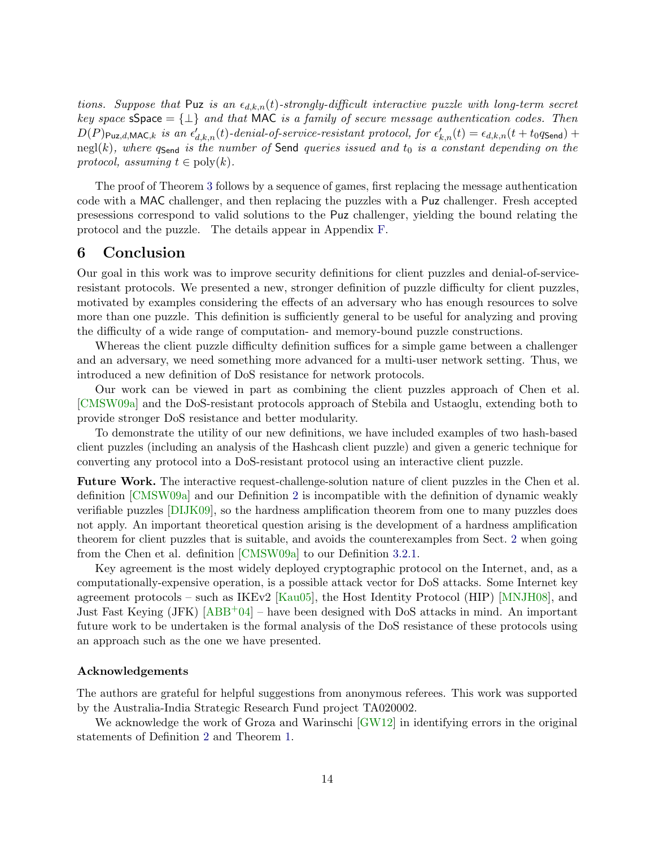tions. Suppose that Puz is an  $\epsilon_{d,k,n}(t)$ -strongly-difficult interactive puzzle with long-term secret key space  $\text{space} = \{\perp\}$  and that MAC is a family of secure message authentication codes. Then  $D(P)_{\text{Puz},d,\text{MAC},k}$  is an  $\epsilon'_{d,k,n}(t)$ -denial-of-service-resistant protocol, for  $\epsilon'_{k,n}(t) = \epsilon_{d,k,n}(t+t_0q_{\text{Send}}) +$ negl(k), where  $q_{\text{Send}}$  is the number of Send queries issued and  $t_0$  is a constant depending on the protocol, assuming  $t \in \text{poly}(k)$ .

The proof of Theorem [3](#page-12-1) follows by a sequence of games, first replacing the message authentication code with a MAC challenger, and then replacing the puzzles with a Puz challenger. Fresh accepted presessions correspond to valid solutions to the Puz challenger, yielding the bound relating the protocol and the puzzle. The details appear in Appendix [F.](#page-25-0)

# <span id="page-13-0"></span>6 Conclusion

Our goal in this work was to improve security definitions for client puzzles and denial-of-serviceresistant protocols. We presented a new, stronger definition of puzzle difficulty for client puzzles, motivated by examples considering the effects of an adversary who has enough resources to solve more than one puzzle. This definition is sufficiently general to be useful for analyzing and proving the difficulty of a wide range of computation- and memory-bound puzzle constructions.

Whereas the client puzzle difficulty definition suffices for a simple game between a challenger and an adversary, we need something more advanced for a multi-user network setting. Thus, we introduced a new definition of DoS resistance for network protocols.

Our work can be viewed in part as combining the client puzzles approach of Chen et al. [\[CMSW09a\]](#page-15-0) and the DoS-resistant protocols approach of Stebila and Ustaoglu, extending both to provide stronger DoS resistance and better modularity.

To demonstrate the utility of our new definitions, we have included examples of two hash-based client puzzles (including an analysis of the Hashcash client puzzle) and given a generic technique for converting any protocol into a DoS-resistant protocol using an interactive client puzzle.

Future Work. The interactive request-challenge-solution nature of client puzzles in the Chen et al. definition [\[CMSW09a\]](#page-15-0) and our Definition [2](#page-6-2) is incompatible with the definition of dynamic weakly verifiable puzzles [\[DIJK09\]](#page-15-5), so the hardness amplification theorem from one to many puzzles does not apply. An important theoretical question arising is the development of a hardness amplification theorem for client puzzles that is suitable, and avoids the counterexamples from Sect. [2](#page-3-0) when going from the Chen et al. definition [\[CMSW09a\]](#page-15-0) to our Definition [3.2.1.](#page-5-4)

Key agreement is the most widely deployed cryptographic protocol on the Internet, and, as a computationally-expensive operation, is a possible attack vector for DoS attacks. Some Internet key agreement protocols – such as IKEv2 [\[Kau05\]](#page-16-10), the Host Identity Protocol (HIP) [\[MNJH08\]](#page-16-11), and Just Fast Keying  $(JFK)$  [\[ABB](#page-14-5)<sup>+</sup>04] – have been designed with DoS attacks in mind. An important future work to be undertaken is the formal analysis of the DoS resistance of these protocols using an approach such as the one we have presented.

### Acknowledgements

The authors are grateful for helpful suggestions from anonymous referees. This work was supported by the Australia-India Strategic Research Fund project TA020002.

We acknowledge the work of Groza and Warinschi [\[GW12\]](#page-16-8) in identifying errors in the original statements of Definition [2](#page-6-2) and Theorem [1.](#page-8-2)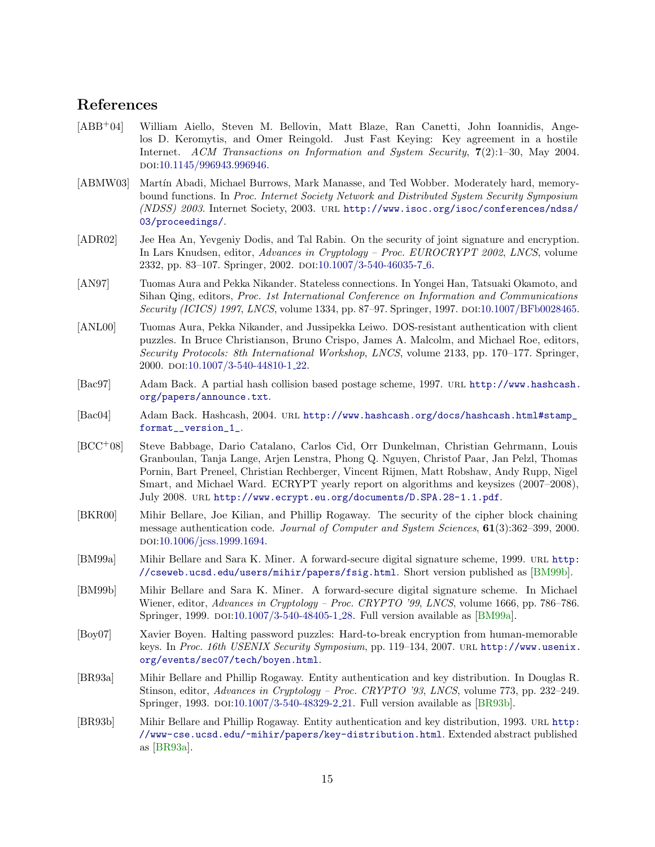# References

- <span id="page-14-5"></span>[ABB+04] William Aiello, Steven M. Bellovin, Matt Blaze, Ran Canetti, John Ioannidis, Angelos D. Keromytis, and Omer Reingold. Just Fast Keying: Key agreement in a hostile Internet. ACM Transactions on Information and System Security, 7(2):1–30, May 2004. doi[:10.1145/996943.996946.](http://dx.doi.org/10.1145/996943.996946)
- <span id="page-14-0"></span>[ABMW03] Martín Abadi, Michael Burrows, Mark Manasse, and Ted Wobber. Moderately hard, memorybound functions. In Proc. Internet Society Network and Distributed System Security Symposium (NDSS) 2003. Internet Society, 2003. url [http://www.isoc.org/isoc/conferences/ndss/](http://www.isoc.org/isoc/conferences/ndss/03/proceedings/) [03/proceedings/](http://www.isoc.org/isoc/conferences/ndss/03/proceedings/).
- <span id="page-14-13"></span>[ADR02] Jee Hea An, Yevgeniy Dodis, and Tal Rabin. On the security of joint signature and encryption. In Lars Knudsen, editor, Advances in Cryptology – Proc. EUROCRYPT 2002, LNCS, volume 2332, pp. 83-107. Springer, 2002. DOI[:10.1007/3-540-46035-7](http://dx.doi.org/10.1007/3-540-46035-7_6)<sub>-6</sub>.
- <span id="page-14-8"></span>[AN97] Tuomas Aura and Pekka Nikander. Stateless connections. In Yongei Han, Tatsuaki Okamoto, and Sihan Qing, editors, Proc. 1st International Conference on Information and Communications Security (ICICS) 1997, LNCS, volume 1334, pp. 87–97. Springer, 1997. DOI[:10.1007/BFb0028465.](http://dx.doi.org/10.1007/BFb0028465)
- <span id="page-14-2"></span>[ANL00] Tuomas Aura, Pekka Nikander, and Jussipekka Leiwo. DOS-resistant authentication with client puzzles. In Bruce Christianson, Bruno Crispo, James A. Malcolm, and Michael Roe, editors, Security Protocols: 8th International Workshop, LNCS, volume 2133, pp. 170–177. Springer, 2000. doi[:10.1007/3-540-44810-1](http://dx.doi.org/10.1007/3-540-44810-1_22) 22.
- <span id="page-14-1"></span>[Bac97] Adam Back. A partial hash collision based postage scheme, 1997. url [http://www.hashcash.](http://www.hashcash.org/papers/announce.txt) [org/papers/announce.txt](http://www.hashcash.org/papers/announce.txt).
- <span id="page-14-3"></span>[Bac04] Adam Back. Hashcash, 2004. url [http://www.hashcash.org/docs/hashcash.html#stamp\\_](http://www.hashcash.org/docs/hashcash.html#stamp_format__version_1_) [format\\_\\_version\\_1\\_](http://www.hashcash.org/docs/hashcash.html#stamp_format__version_1_).
- <span id="page-14-6"></span>[BCC+08] Steve Babbage, Dario Catalano, Carlos Cid, Orr Dunkelman, Christian Gehrmann, Louis Granboulan, Tanja Lange, Arjen Lenstra, Phong Q. Nguyen, Christof Paar, Jan Pelzl, Thomas Pornin, Bart Preneel, Christian Rechberger, Vincent Rijmen, Matt Robshaw, Andy Rupp, Nigel Smart, and Michael Ward. ECRYPT yearly report on algorithms and keysizes (2007–2008), July 2008. url <http://www.ecrypt.eu.org/documents/D.SPA.28-1.1.pdf>.
- <span id="page-14-12"></span>[BKR00] Mihir Bellare, Joe Kilian, and Phillip Rogaway. The security of the cipher block chaining message authentication code. Journal of Computer and System Sciences, 61(3):362-399, 2000. doi[:10.1006/jcss.1999.1694.](http://dx.doi.org/10.1006/jcss.1999.1694)
- <span id="page-14-10"></span>[BM99a] Mihir Bellare and Sara K. Miner. A forward-secure digital signature scheme, 1999. url [http:](http://cseweb.ucsd.edu/users/mihir/papers/fsig.html) [//cseweb.ucsd.edu/users/mihir/papers/fsig.html](http://cseweb.ucsd.edu/users/mihir/papers/fsig.html). Short version published as [\[BM99b\]](#page-14-9).
- <span id="page-14-9"></span>[BM99b] Mihir Bellare and Sara K. Miner. A forward-secure digital signature scheme. In Michael Wiener, editor, Advances in Cryptology – Proc. CRYPTO '99, LNCS, volume 1666, pp. 786–786. Springer, 1999. DOI[:10.1007/3-540-48405-1](http://dx.doi.org/10.1007/3-540-48405-1_28)\_28. Full version available as [\[BM99a\]](#page-14-10).
- <span id="page-14-4"></span>[Boy07] Xavier Boyen. Halting password puzzles: Hard-to-break encryption from human-memorable keys. In Proc. 16th USENIX Security Symposium, pp. 119-134, 2007. URL [http://www.usenix.](http://www.usenix.org/events/sec07/tech/boyen.html) [org/events/sec07/tech/boyen.html](http://www.usenix.org/events/sec07/tech/boyen.html).
- <span id="page-14-7"></span>[BR93a] Mihir Bellare and Phillip Rogaway. Entity authentication and key distribution. In Douglas R. Stinson, editor, Advances in Cryptology – Proc. CRYPTO '93, LNCS, volume 773, pp. 232–249. Springer, 1993. DOI[:10.1007/3-540-48329-2](http://dx.doi.org/10.1007/3-540-48329-2_21) 21. Full version available as [\[BR93b\]](#page-14-11).
- <span id="page-14-11"></span>[BR93b] Mihir Bellare and Phillip Rogaway. Entity authentication and key distribution, 1993. URL [http:](http://www-cse.ucsd.edu/~mihir/papers/key-distribution.html) [//www-cse.ucsd.edu/~mihir/papers/key-distribution.html](http://www-cse.ucsd.edu/~mihir/papers/key-distribution.html). Extended abstract published as [\[BR93a\]](#page-14-7).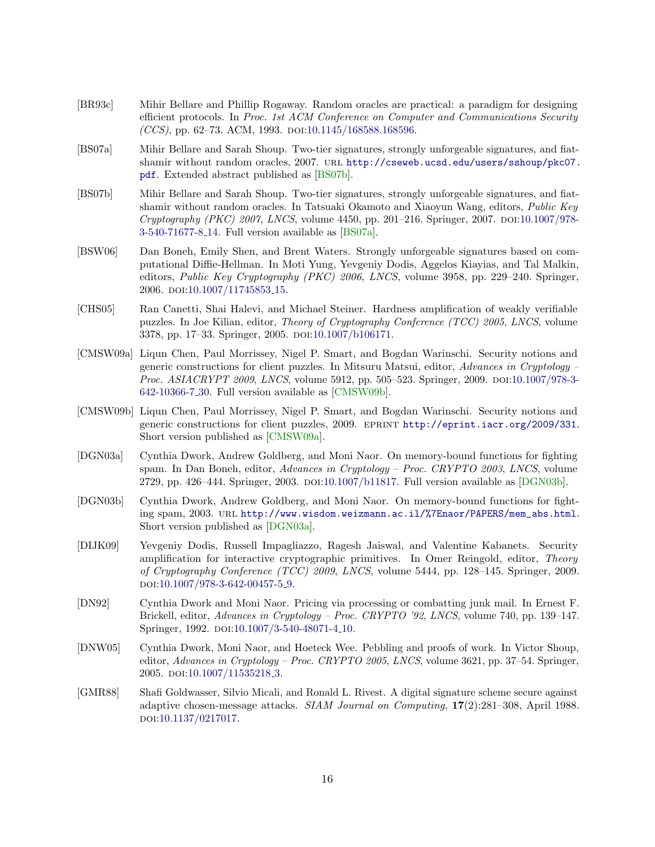- <span id="page-15-6"></span>[BR93c] Mihir Bellare and Phillip Rogaway. Random oracles are practical: a paradigm for designing efficient protocols. In Proc. 1st ACM Conference on Computer and Communications Security  $(CCS)$ , pp. 62–73. ACM, 1993. doi[:10.1145/168588.168596.](http://dx.doi.org/10.1145/168588.168596)
- <span id="page-15-8"></span>[BS07a] Mihir Bellare and Sarah Shoup. Two-tier signatures, strongly unforgeable signatures, and fiatshamir without random oracles, 2007. url [http://cseweb.ucsd.edu/users/sshoup/pkc07.](http://cseweb.ucsd.edu/users/sshoup/pkc07.pdf) [pdf](http://cseweb.ucsd.edu/users/sshoup/pkc07.pdf). Extended abstract published as [\[BS07b\]](#page-15-7).
- <span id="page-15-7"></span>[BS07b] Mihir Bellare and Sarah Shoup. Two-tier signatures, strongly unforgeable signatures, and fiatshamir without random oracles. In Tatsuaki Okamoto and Xiaoyun Wang, editors, Public Key  $Cryptography (PKC) 2007, LNCS, volume 4450, pp. 201–216. Springer, 2007. DOI:10.1007/978 Cryptography (PKC) 2007, LNCS, volume 4450, pp. 201–216. Springer, 2007. DOI:10.1007/978-$ [3-540-71677-8](http://dx.doi.org/10.1007/978-3-540-71677-8_14) 14. Full version available as [\[BS07a\]](#page-15-8).
- <span id="page-15-12"></span>[BSW06] Dan Boneh, Emily Shen, and Brent Waters. Strongly unforgeable signatures based on computational Diffie-Hellman. In Moti Yung, Yevgeniy Dodis, Aggelos Kiayias, and Tal Malkin, editors, Public Key Cryptography (PKC) 2006, LNCS, volume 3958, pp. 229–240. Springer, 2006. doi[:10.1007/11745853](http://dx.doi.org/10.1007/11745853_15) 15.
- <span id="page-15-4"></span>[CHS05] Ran Canetti, Shai Halevi, and Michael Steiner. Hardness amplification of weakly verifiable puzzles. In Joe Kilian, editor, Theory of Cryptography Conference (TCC) 2005, LNCS, volume 3378, pp. 17–33. Springer, 2005. DOI[:10.1007/b106171.](http://dx.doi.org/10.1007/b106171)
- <span id="page-15-0"></span>[CMSW09a] Liqun Chen, Paul Morrissey, Nigel P. Smart, and Bogdan Warinschi. Security notions and generic constructions for client puzzles. In Mitsuru Matsui, editor, Advances in Cryptology – Proc. ASIACRYPT 2009, LNCS, volume 5912, pp. 505–523. Springer, 2009. DOI[:10.1007/978-3-](http://dx.doi.org/10.1007/978-3-642-10366-7_30) [642-10366-7](http://dx.doi.org/10.1007/978-3-642-10366-7_30) 30. Full version available as [\[CMSW09b\]](#page-15-9).
- <span id="page-15-9"></span>[CMSW09b] Liqun Chen, Paul Morrissey, Nigel P. Smart, and Bogdan Warinschi. Security notions and generic constructions for client puzzles, 2009. EPRINT <http://eprint.iacr.org/2009/331>. Short version published as [\[CMSW09a\]](#page-15-0).
- <span id="page-15-2"></span>[DGN03a] Cynthia Dwork, Andrew Goldberg, and Moni Naor. On memory-bound functions for fighting spam. In Dan Boneh, editor, Advances in Cryptology – Proc. CRYPTO 2003, LNCS, volume 2729, pp. 426–444. Springer, 2003. DOI[:10.1007/b11817.](http://dx.doi.org/10.1007/b11817) Full version available as [\[DGN03b\]](#page-15-10).
- <span id="page-15-10"></span>[DGN03b] Cynthia Dwork, Andrew Goldberg, and Moni Naor. On memory-bound functions for fighting spam, 2003. url [http://www.wisdom.weizmann.ac.il/%7Enaor/PAPERS/mem\\_abs.html](http://www.wisdom.weizmann.ac.il/%7Enaor/PAPERS/mem_abs.html). Short version published as [\[DGN03a\]](#page-15-2).
- <span id="page-15-5"></span>[DIJK09] Yevgeniy Dodis, Russell Impagliazzo, Ragesh Jaiswal, and Valentine Kabanets. Security amplification for interactive cryptographic primitives. In Omer Reingold, editor, *Theory* of Cryptography Conference (TCC) 2009, LNCS, volume 5444, pp. 128–145. Springer, 2009. doi[:10.1007/978-3-642-00457-5](http://dx.doi.org/10.1007/978-3-642-00457-5_9) 9.
- <span id="page-15-1"></span>[DN92] Cynthia Dwork and Moni Naor. Pricing via processing or combatting junk mail. In Ernest F. Brickell, editor, Advances in Cryptology – Proc. CRYPTO '92, LNCS, volume 740, pp. 139–147. Springer, 1992. DOI[:10.1007/3-540-48071-4](http://dx.doi.org/10.1007/3-540-48071-4_10)<sub>-10</sub>.
- <span id="page-15-3"></span>[DNW05] Cynthia Dwork, Moni Naor, and Hoeteck Wee. Pebbling and proofs of work. In Victor Shoup, editor,  $Advances in Cryptology - Proc. CRYPTO 2005, LNCS$ , volume 3621, pp. 37–54. Springer, 2005. doi[:10.1007/11535218](http://dx.doi.org/10.1007/11535218_3).3.
- <span id="page-15-11"></span>[GMR88] Shafi Goldwasser, Silvio Micali, and Ronald L. Rivest. A digital signature scheme secure against adaptive chosen-message attacks. SIAM Journal on Computing, 17(2):281–308, April 1988. doi[:10.1137/0217017.](http://dx.doi.org/10.1137/0217017)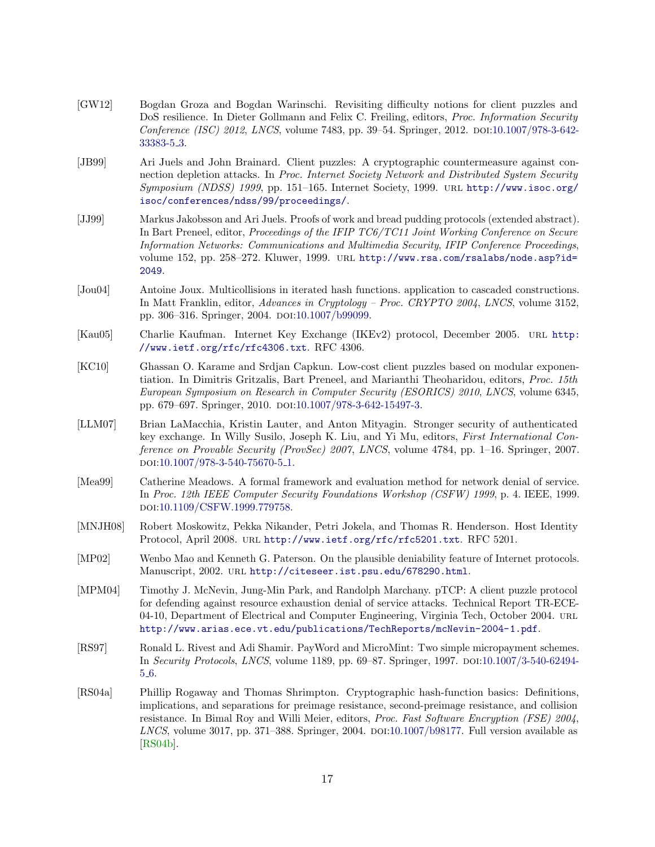- <span id="page-16-8"></span>[GW12] Bogdan Groza and Bogdan Warinschi. Revisiting difficulty notions for client puzzles and DoS resilience. In Dieter Gollmann and Felix C. Freiling, editors, *Proc. Information Security* Conference (ISC) 2012, LNCS, volume 7483, pp. 39–54. Springer, 2012. DOI[:10.1007/978-3-642-](http://dx.doi.org/10.1007/978-3-642-33383-5_3) [33383-5](http://dx.doi.org/10.1007/978-3-642-33383-5_3) 3.
- <span id="page-16-4"></span>[JB99] Ari Juels and John Brainard. Client puzzles: A cryptographic countermeasure against connection depletion attacks. In Proc. Internet Society Network and Distributed System Security Symposium (NDSS) 1999, pp. 151–165. Internet Society, 1999. URL [http://www.isoc.org/](http://www.isoc.org/isoc/conferences/ndss/99/proceedings/) [isoc/conferences/ndss/99/proceedings/](http://www.isoc.org/isoc/conferences/ndss/99/proceedings/).
- <span id="page-16-0"></span>[JJ99] Markus Jakobsson and Ari Juels. Proofs of work and bread pudding protocols (extended abstract). In Bart Preneel, editor, *Proceedings of the IFIP TC6/TC11 Joint Working Conference on Secure* Information Networks: Communications and Multimedia Security, IFIP Conference Proceedings, volume 152, pp. 258–272. Kluwer, 1999. URL [http://www.rsa.com/rsalabs/node.asp?id=](http://www.rsa.com/rsalabs/node.asp?id=2049) [2049](http://www.rsa.com/rsalabs/node.asp?id=2049).
- <span id="page-16-12"></span>[Jou04] Antoine Joux. Multicollisions in iterated hash functions. application to cascaded constructions. In Matt Franklin, editor, Advances in Cryptology – Proc. CRYPTO 2004, LNCS, volume 3152, pp. 306–316. Springer, 2004. DOI[:10.1007/b99099.](http://dx.doi.org/10.1007/b99099)
- <span id="page-16-10"></span>[Kau05] Charlie Kaufman. Internet Key Exchange (IKEv2) protocol, December 2005. url [http:](http://www.ietf.org/rfc/rfc4306.txt) [//www.ietf.org/rfc/rfc4306.txt](http://www.ietf.org/rfc/rfc4306.txt). RFC 4306.
- <span id="page-16-2"></span>[KC10] Ghassan O. Karame and Srdjan Capkun. Low-cost client puzzles based on modular exponentiation. In Dimitris Gritzalis, Bart Preneel, and Marianthi Theoharidou, editors, Proc. 15th European Symposium on Research in Computer Security (ESORICS) 2010, LNCS, volume 6345, pp. 679–697. Springer, 2010. DOI[:10.1007/978-3-642-15497-3.](http://dx.doi.org/10.1007/978-3-642-15497-3)
- <span id="page-16-6"></span>[LLM07] Brian LaMacchia, Kristin Lauter, and Anton Mityagin. Stronger security of authenticated key exchange. In Willy Susilo, Joseph K. Liu, and Yi Mu, editors, First International Conference on Provable Security (ProvSec) 2007, LNCS, volume 4784, pp. 1–16. Springer, 2007. doi[:10.1007/978-3-540-75670-5](http://dx.doi.org/10.1007/978-3-540-75670-5_1) 1.
- <span id="page-16-5"></span>[Mea99] Catherine Meadows. A formal framework and evaluation method for network denial of service. In Proc. 12th IEEE Computer Security Foundations Workshop (CSFW) 1999, p. 4. IEEE, 1999. doi[:10.1109/CSFW.1999.779758.](http://dx.doi.org/10.1109/CSFW.1999.779758)
- <span id="page-16-11"></span>[MNJH08] Robert Moskowitz, Pekka Nikander, Petri Jokela, and Thomas R. Henderson. Host Identity Protocol, April 2008. url <http://www.ietf.org/rfc/rfc5201.txt>. RFC 5201.
- <span id="page-16-3"></span>[MP02] Wenbo Mao and Kenneth G. Paterson. On the plausible deniability feature of Internet protocols. Manuscript, 2002. url <http://citeseer.ist.psu.edu/678290.html>.
- <span id="page-16-7"></span>[MPM04] Timothy J. McNevin, Jung-Min Park, and Randolph Marchany. pTCP: A client puzzle protocol for defending against resource exhaustion denial of service attacks. Technical Report TR-ECE-04-10, Department of Electrical and Computer Engineering, Virginia Tech, October 2004. URL <http://www.arias.ece.vt.edu/publications/TechReports/mcNevin-2004-1.pdf>.
- <span id="page-16-1"></span>[RS97] Ronald L. Rivest and Adi Shamir. PayWord and MicroMint: Two simple micropayment schemes. In Security Protocols, LNCS, volume 1189, pp. 69–87. Springer, 1997. DOI[:10.1007/3-540-62494-](http://dx.doi.org/10.1007/3-540-62494-5_6) 5 [6.](http://dx.doi.org/10.1007/3-540-62494-5_6)
- <span id="page-16-9"></span>[RS04a] Phillip Rogaway and Thomas Shrimpton. Cryptographic hash-function basics: Definitions, implications, and separations for preimage resistance, second-preimage resistance, and collision resistance. In Bimal Roy and Willi Meier, editors, Proc. Fast Software Encryption (FSE) 2004,  $LNCS$ , volume 3017, pp. 371–388. Springer, 2004.  $D01:10.1007/b98177$ . Full version available as [\[RS04b\]](#page-17-9).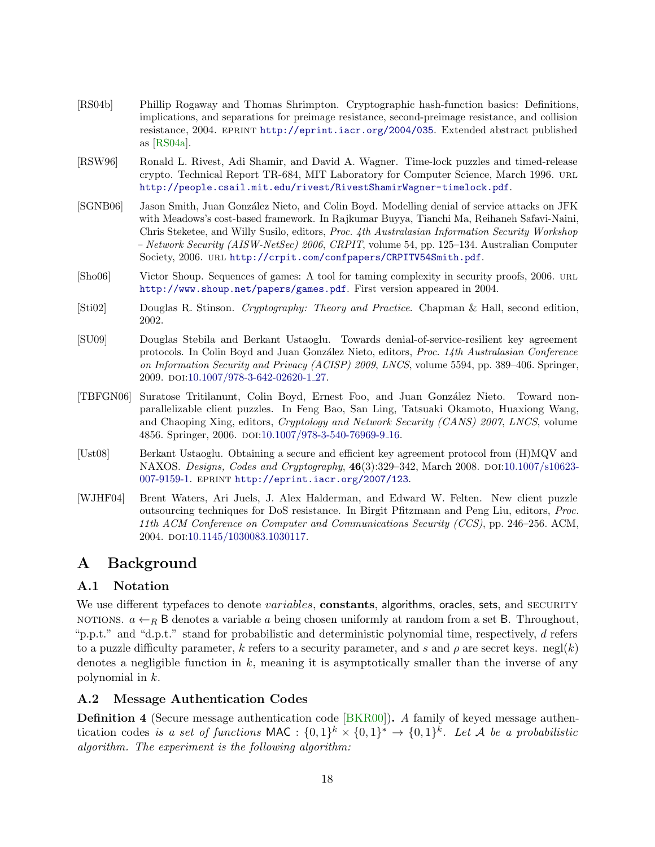- <span id="page-17-9"></span>[RS04b] Phillip Rogaway and Thomas Shrimpton. Cryptographic hash-function basics: Definitions, implications, and separations for preimage resistance, second-preimage resistance, and collision resistance, 2004. eprint <http://eprint.iacr.org/2004/035>. Extended abstract published as [\[RS04a\]](#page-16-9).
- <span id="page-17-4"></span>[RSW96] Ronald L. Rivest, Adi Shamir, and David A. Wagner. Time-lock puzzles and timed-release crypto. Technical Report TR-684, MIT Laboratory for Computer Science, March 1996. url <http://people.csail.mit.edu/rivest/RivestShamirWagner-timelock.pdf>.
- <span id="page-17-5"></span>[SGNB06] Jason Smith, Juan González Nieto, and Colin Boyd. Modelling denial of service attacks on JFK with Meadows's cost-based framework. In Rajkumar Buyya, Tianchi Ma, Reihaneh Safavi-Naini, Chris Steketee, and Willy Susilo, editors, Proc. 4th Australasian Information Security Workshop – Network Security (AISW-NetSec) 2006, CRPIT, volume 54, pp. 125–134. Australian Computer Society, 2006. url <http://crpit.com/confpapers/CRPITV54Smith.pdf>.
- <span id="page-17-10"></span>[Sho06] Victor Shoup. Sequences of games: A tool for taming complexity in security proofs, 2006. url <http://www.shoup.net/papers/games.pdf>. First version appeared in 2004.
- <span id="page-17-7"></span>[Sti02] Douglas R. Stinson. Cryptography: Theory and Practice. Chapman & Hall, second edition, 2002.
- <span id="page-17-0"></span>[SU09] Douglas Stebila and Berkant Ustaoglu. Towards denial-of-service-resilient key agreement protocols. In Colin Boyd and Juan González Nieto, editors, Proc. 14th Australasian Conference on Information Security and Privacy (ACISP) 2009, LNCS, volume 5594, pp. 389–406. Springer, 2009. doi[:10.1007/978-3-642-02620-1](http://dx.doi.org/10.1007/978-3-642-02620-1_27) 27.
- <span id="page-17-3"></span>[TBFGN06] Suratose Tritilanunt, Colin Boyd, Ernest Foo, and Juan Gonz´alez Nieto. Toward nonparallelizable client puzzles. In Feng Bao, San Ling, Tatsuaki Okamoto, Huaxiong Wang, and Chaoping Xing, editors, Cryptology and Network Security (CANS) 2007, LNCS, volume 4856. Springer, 2006. DOI[:10.1007/978-3-540-76969-9](http://dx.doi.org/10.1007/978-3-540-76969-9_16)<sub>-16</sub>.
- <span id="page-17-6"></span>[Ust08] Berkant Ustaoglu. Obtaining a secure and efficient key agreement protocol from (H)MQV and NAXOS. Designs, Codes and Cryptography,  $46(3):329-342$ , March 2008. DOI[:10.1007/s10623-](http://dx.doi.org/10.1007/s10623-007-9159-1) [007-9159-1.](http://dx.doi.org/10.1007/s10623-007-9159-1) eprint <http://eprint.iacr.org/2007/123>.
- <span id="page-17-2"></span>[WJHF04] Brent Waters, Ari Juels, J. Alex Halderman, and Edward W. Felten. New client puzzle outsourcing techniques for DoS resistance. In Birgit Pfitzmann and Peng Liu, editors, Proc. 11th ACM Conference on Computer and Communications Security (CCS), pp. 246–256. ACM, 2004. poi[:10.1145/1030083.1030117.](http://dx.doi.org/10.1145/1030083.1030117)

# <span id="page-17-1"></span>A Background

# A.1 Notation

We use different typefaces to denote variables, constants, algorithms, oracles, sets, and SECURITY notions.  $a \leftarrow_R B$  denotes a variable a being chosen uniformly at random from a set B. Throughout, "p.p.t." and "d.p.t." stand for probabilistic and deterministic polynomial time, respectively, d refers to a puzzle difficulty parameter, k refers to a security parameter, and s and  $\rho$  are secret keys. negl(k) denotes a negligible function in  $k$ , meaning it is asymptotically smaller than the inverse of any polynomial in k.

# <span id="page-17-8"></span>A.2 Message Authentication Codes

Definition 4 (Secure message authentication code [\[BKR00\]](#page-14-12)). A family of keyed message authentication codes is a set of functions MAC :  $\{0,1\}^k \times \{0,1\}^k \to \{0,1\}^k$ . Let A be a probabilistic algorithm. The experiment is the following algorithm: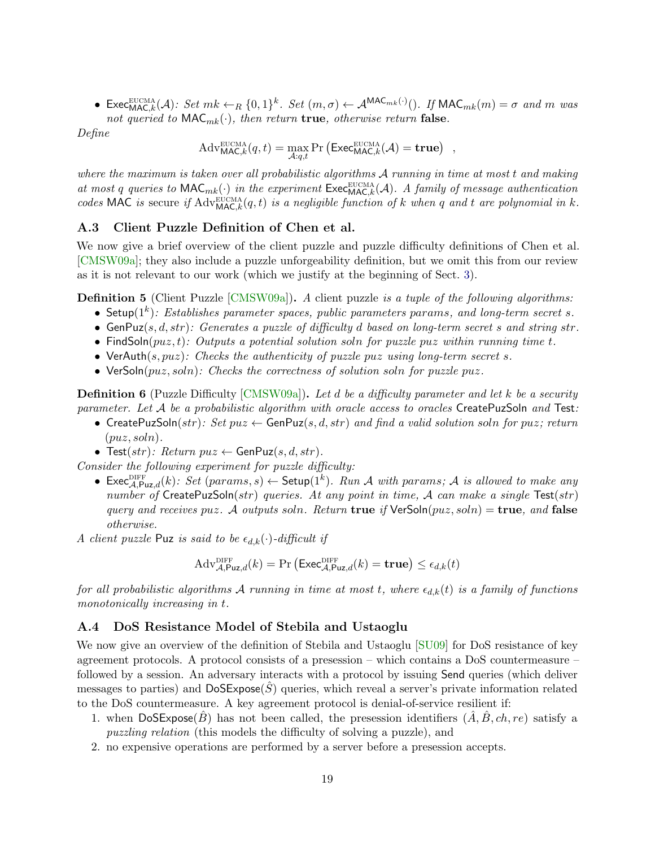• Exec<sub>MAC,k</sub>(A): Set  $mk \leftarrow_R \{0,1\}^k$ . Set  $(m,\sigma) \leftarrow A^{MAC_{mk}(\cdot)}($ ). If  $MAC_{mk}(m) = \sigma$  and m was not queried to  $\mathsf{MAC}_{mk}(\cdot)$ , then return **true**, otherwise return **false**.

Define

 $\mathrm{Adv}_{\mathsf{MAC},k}^{\text{EUCMA}}(q,t) = \max_{\mathcal{A}:q,t} \Pr\left(\mathsf{Exec}_{\mathsf{MAC},k}^{\text{EUCMA}}(\mathcal{A}) = \mathbf{true}\right)$ 

where the maximum is taken over all probabilistic algorithms  $A$  running in time at most  $t$  and making at most q queries to  $\mathsf{MAC}_{mk}(\cdot)$  in the experiment  $\check{\mathsf{Exec}}_{\mathsf{MAC},k}^{\text{ECMA}}(\mathcal{A})$ . A family of message authentication codes MAC is secure if  $\text{Adv}^{\text{SUCMA}}_{\text{MAC},k}(q, t)$  is a negligible function of k when q and t are polynomial in k.

### <span id="page-18-0"></span>A.3 Client Puzzle Definition of Chen et al.

We now give a brief overview of the client puzzle and puzzle difficulty definitions of Chen et al. [\[CMSW09a\]](#page-15-0); they also include a puzzle unforgeability definition, but we omit this from our review as it is not relevant to our work (which we justify at the beginning of Sect. [3\)](#page-4-0).

**Definition 5** (Client Puzzle [\[CMSW09a\]](#page-15-0)). A client puzzle is a tuple of the following algorithms:

- Setup( $1^k$ ): Establishes parameter spaces, public parameters params, and long-term secret s.
- $\bullet$  GenPuz(s, d, str): Generates a puzzle of difficulty d based on long-term secret s and string str.
- FindSoln( $puz, t$ ): Outputs a potential solution soln for puzzle puz within running time t.
- VerAuth(s,  $puz$ ): Checks the authenticity of puzzle puz using long-term secret s.
- VerSoln $(puz, soln)$ : Checks the correctness of solution soln for puzzle puz.

**Definition 6** (Puzzle Difficulty [\[CMSW09a\]](#page-15-0)). Let d be a difficulty parameter and let k be a security parameter. Let  $A$  be a probabilistic algorithm with oracle access to oracles CreatePuzSoln and Test:

- CreatePuzSoln(str): Set  $puz \leftarrow$  GenPuz(s, d, str) and find a valid solution soln for puz; return  $(puz, soln)$ .
- Test(str): Return  $puz \leftarrow$  GenPuz(s, d, str).

Consider the following experiment for puzzle difficulty:

• Exec $\mathcal{A},\mathsf{Puz},d(k)$ : Set  $(params,s) \leftarrow$  Setup $(\mathbf{1}^k)$ . Run A with params; A is allowed to make any number of CreatePuzSoln(str) queries. At any point in time, A can make a single  $Test(str)$ query and receives puz. A outputs soln. Return true if  $VerSoln(puz, soln) = true$ , and false otherwise.

A client puzzle Puz is said to be  $\epsilon_{d,k}(\cdot)$ -difficult if

$$
Adv_{\mathcal{A},\mathsf{Puz},d}^{\text{DIFF}}(k) = \Pr\left(\mathsf{Exec}_{\mathcal{A},\mathsf{Puz},d}^{\text{DIFF}}(k) = \mathbf{true}\right) \le \epsilon_{d,k}(t)
$$

for all probabilistic algorithms A running in time at most t, where  $\epsilon_{d,k}(t)$  is a family of functions monotonically increasing in t.

### A.4 DoS Resistance Model of Stebila and Ustaoglu

We now give an overview of the definition of Stebila and Ustaoglu [\[SU09\]](#page-17-0) for DoS resistance of key agreement protocols. A protocol consists of a presession – which contains a DoS countermeasure – followed by a session. An adversary interacts with a protocol by issuing Send queries (which deliver messages to parties) and  $\text{DoSExpose}(S)$  queries, which reveal a server's private information related to the DoS countermeasure. A key agreement protocol is denial-of-service resilient if:

- 1. when  $\text{DoSExpose}(B)$  has not been called, the presession identifiers  $(A, B, ch, re)$  satisfy a puzzling relation (this models the difficulty of solving a puzzle), and
- 2. no expensive operations are performed by a server before a presession accepts.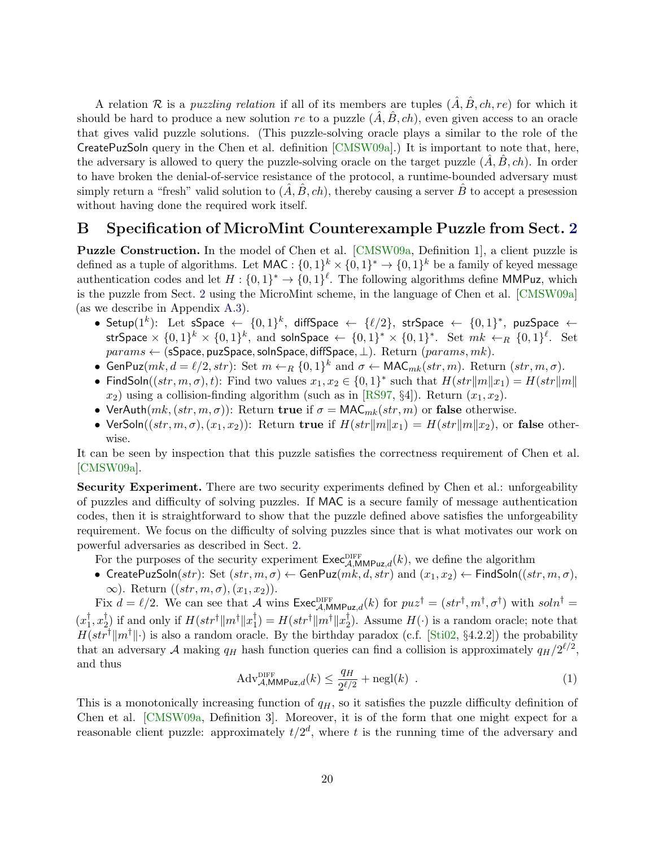A relation R is a *puzzling relation* if all of its members are tuples  $(\hat{A}, \hat{B}, ch, re)$  for which it should be hard to produce a new solution re to a puzzle  $(A, B, ch)$ , even given access to an oracle that gives valid puzzle solutions. (This puzzle-solving oracle plays a similar to the role of the CreatePuzSoln query in the Chen et al. definition [\[CMSW09a\]](#page-15-0).) It is important to note that, here, the adversary is allowed to query the puzzle-solving oracle on the target puzzle  $(\tilde{A}, \tilde{B}, ch)$ . In order to have broken the denial-of-service resistance of the protocol, a runtime-bounded adversary must simply return a "fresh" valid solution to  $(\tilde{A}, \tilde{B}, ch)$ , thereby causing a server  $\tilde{B}$  to accept a presession without having done the required work itself.

# <span id="page-19-0"></span>B Specification of MicroMint Counterexample Puzzle from Sect. [2](#page-3-0)

Puzzle Construction. In the model of Chen et al. [\[CMSW09a,](#page-15-0) Definition 1], a client puzzle is defined as a tuple of algorithms. Let  $\mathsf{MAC}: \{0,1\}^k \times \{0,1\}^k \to \{0,1\}^k$  be a family of keyed message authentication codes and let  $H: \{0,1\}^* \to \{0,1\}^{\ell}$ . The following algorithms define MMPuz, which is the puzzle from Sect. [2](#page-3-0) using the MicroMint scheme, in the language of Chen et al. [\[CMSW09a\]](#page-15-0) (as we describe in Appendix [A.3\)](#page-18-0).

- Setup $(1^k)$ : Let sSpace ←  $\{0,1\}^k$ , diffSpace ←  $\{\ell/2\}$ , strSpace ←  $\{0,1\}^*$ , puzSpace ← str<code>Space</code>  $\times$   $\{0,1\}^k$   $\times$   $\{0,1\}^k,$  and <code>soInSpace</code>  $\leftarrow$   $\{0,1\}^*$   $\times$   $\{0,1\}^*.$  Set  $mk$   $\leftarrow$   $_R$   $\{0,1\}^{\ell}.$  Set  $params \leftarrow$  (sSpace, puzSpace, solnSpace, diffSpace,  $\perp$ ). Return (params, mk).
- GenPuz $(mk, d = \ell/2, str)$ : Set  $m \leftarrow_R \{0, 1\}^k$  and  $\sigma \leftarrow \text{MAC}_{mk}(str, m)$ . Return  $(str, m, \sigma)$ .
- FindSoln $((str, m, \sigma), t)$ : Find two values  $x_1, x_2 \in \{0, 1\}^*$  such that  $H(str||m||x_1) = H(str||m||x_2)$  $x_2$ ) using a collision-finding algorithm (such as in [\[RS97,](#page-16-1) §4]). Return  $(x_1, x_2)$ .
- VerAuth $(mk,(\text{str},m,\sigma))$ : Return true if  $\sigma = \text{MAC}_{mk}(\text{str},m)$  or false otherwise.
- VerSoln $((str, m, \sigma), (x_1, x_2))$ : Return true if  $H(str||m||x_1) = H(str||m||x_2)$ , or false otherwise.

It can be seen by inspection that this puzzle satisfies the correctness requirement of Chen et al. [\[CMSW09a\]](#page-15-0).

Security Experiment. There are two security experiments defined by Chen et al.: unforgeability of puzzles and difficulty of solving puzzles. If MAC is a secure family of message authentication codes, then it is straightforward to show that the puzzle defined above satisfies the unforgeability requirement. We focus on the difficulty of solving puzzles since that is what motivates our work on powerful adversaries as described in Sect. [2.](#page-3-0)

For the purposes of the security experiment  $\mathsf{Exec}_{\mathcal{A}, \mathsf{MMPuz},d}^{\text{DIFF}}(k)$ , we define the algorithm

• CreatePuzSoln(str): Set  $(str, m, \sigma) \leftarrow$  GenPuz $(mk, d, str)$  and  $(x_1, x_2) \leftarrow$  FindSoln( $(str, m, \sigma)$ ,  $\infty$ ). Return  $((str, m, \sigma), (x_1, x_2))$ .

Fix  $d = \ell/2$ . We can see that A wins  $\mathsf{Exec}_{\mathcal{A}, \mathsf{MMPuz},d}^{\text{DIFF}}(k)$  for  $puz^{\dagger} = (str^{\dagger}, m^{\dagger}, \sigma^{\dagger})$  with  $soln^{\dagger} =$  $(x_1^{\dagger}$  $, x_2^{\dagger}$  $\frac{1}{2}$ ) if and only if  $H(str^{\dagger} || m^{\dagger} || x_1^{\dagger})$  $|_{1}^{\dagger}\rangle=H(str^{\dagger}\Vert m^{\dagger}\Vert x_{2}^{\dagger}% \Vert m^{\dagger}\Vert x_{1}^{\dagger}\Vert y_{2}^{\dagger}.$  $_{2}^{T}$ ). Assume  $H(\cdot)$  is a random oracle; note that  $H(str^{\dagger}||m^{\dagger}||)$  is also a random oracle. By the birthday paradox (c.f. [\[Sti02,](#page-17-7) §4.2.2]) the probability that an adversary A making  $q_H$  hash function queries can find a collision is approximately  $q_H/2^{\ell/2}$ , and thus

<span id="page-19-1"></span>
$$
\text{Adv}_{\mathcal{A}, \text{MMPuz}, d}^{\text{DIFF}}(k) \le \frac{q_H}{2^{\ell/2}} + \text{negl}(k) \tag{1}
$$

This is a monotonically increasing function of  $q<sub>H</sub>$ , so it satisfies the puzzle difficulty definition of Chen et al. [\[CMSW09a,](#page-15-0) Definition 3]. Moreover, it is of the form that one might expect for a reasonable client puzzle: approximately  $t/2^d$ , where t is the running time of the adversary and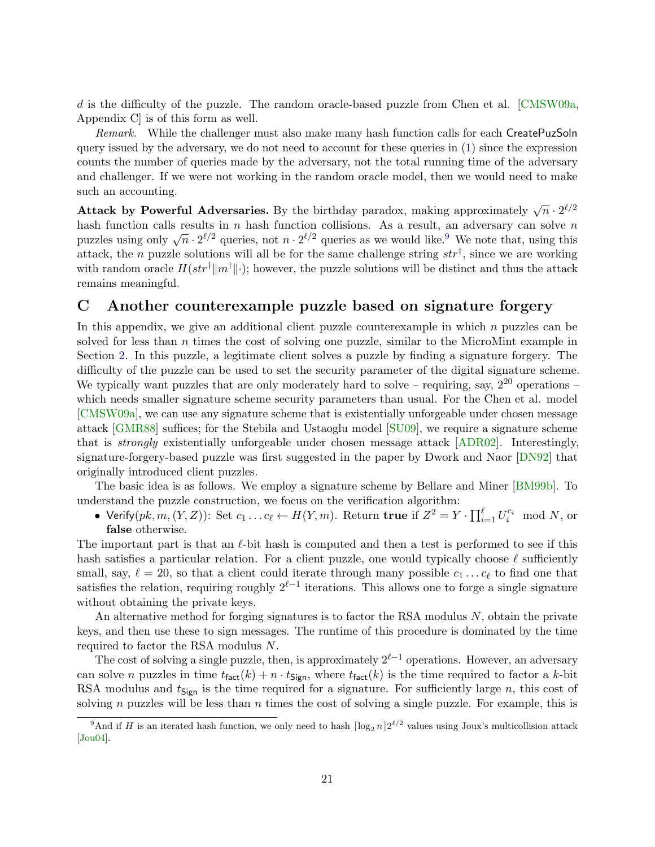d is the difficulty of the puzzle. The random oracle-based puzzle from Chen et al. [\[CMSW09a,](#page-15-0) Appendix C] is of this form as well.

Remark. While the challenger must also make many hash function calls for each CreatePuzSoln query issued by the adversary, we do not need to account for these queries in [\(1\)](#page-19-1) since the expression counts the number of queries made by the adversary, not the total running time of the adversary and challenger. If we were not working in the random oracle model, then we would need to make such an accounting.

Attack by Powerful Adversaries. By the birthday paradox, making approximately  $\sqrt{n} \cdot 2^{\ell/2}$ hash function calls results in n hash function collisions. As a result, an adversary can solve n mash function cans results in *n* hash function comsions. As a result, an adversary can solve *n* puzzles using only  $\sqrt{n} \cdot 2^{\ell/2}$  queries, not  $n \cdot 2^{\ell/2}$  queries as we would like.<sup>[9](#page-20-1)</sup> We note that, using this attack, the *n* puzzle solutions will all be for the same challenge string  $str^{\dagger}$ , since we are working with random oracle  $H(str^{\dagger}||m^{\dagger}||\cdot)$ ; however, the puzzle solutions will be distinct and thus the attack remains meaningful.

# <span id="page-20-0"></span>C Another counterexample puzzle based on signature forgery

In this appendix, we give an additional client puzzle counterexample in which  $n$  puzzles can be solved for less than n times the cost of solving one puzzle, similar to the MicroMint example in Section [2.](#page-3-0) In this puzzle, a legitimate client solves a puzzle by finding a signature forgery. The difficulty of the puzzle can be used to set the security parameter of the digital signature scheme. We typically want puzzles that are only moderately hard to solve – requiring, say,  $2^{20}$  operations – which needs smaller signature scheme security parameters than usual. For the Chen et al. model [\[CMSW09a\]](#page-15-0), we can use any signature scheme that is existentially unforgeable under chosen message attack [\[GMR88\]](#page-15-11) suffices; for the Stebila and Ustaoglu model [\[SU09\]](#page-17-0), we require a signature scheme that is strongly existentially unforgeable under chosen message attack [\[ADR02\]](#page-14-13). Interestingly, signature-forgery-based puzzle was first suggested in the paper by Dwork and Naor [\[DN92\]](#page-15-1) that originally introduced client puzzles.

The basic idea is as follows. We employ a signature scheme by Bellare and Miner [\[BM99b\]](#page-14-9). To understand the puzzle construction, we focus on the verification algorithm:

• Verify $(pk, m, (Y, Z))$ : Set  $c_1 \ldots c_{\ell} \leftarrow H(Y, m)$ . Return true if  $Z^2 = Y \cdot \prod_{i=1}^{\ell} U_i^{c_i} \mod N$ , or false otherwise.

The important part is that an  $\ell$ -bit hash is computed and then a test is performed to see if this hash satisfies a particular relation. For a client puzzle, one would typically choose  $\ell$  sufficiently small, say,  $\ell = 20$ , so that a client could iterate through many possible  $c_1 \dots c_\ell$  to find one that satisfies the relation, requiring roughly  $2^{\ell-1}$  iterations. This allows one to forge a single signature without obtaining the private keys.

An alternative method for forging signatures is to factor the RSA modulus  $N$ , obtain the private keys, and then use these to sign messages. The runtime of this procedure is dominated by the time required to factor the RSA modulus N.

The cost of solving a single puzzle, then, is approximately  $2^{\ell-1}$  operations. However, an adversary can solve n puzzles in time  $t_{\text{fact}}(k) + n \cdot t_{\text{Sign}}$ , where  $t_{\text{fact}}(k)$  is the time required to factor a k-bit RSA modulus and  $t_{\text{Sign}}$  is the time required for a signature. For sufficiently large n, this cost of solving n puzzles will be less than  $n$  times the cost of solving a single puzzle. For example, this is

<span id="page-20-1"></span><sup>&</sup>lt;sup>9</sup>And if H is an iterated hash function, we only need to hash  $\lceil \log_2 n \rceil 2^{\ell/2}$  values using Joux's multicollision attack [\[Jou04\]](#page-16-12).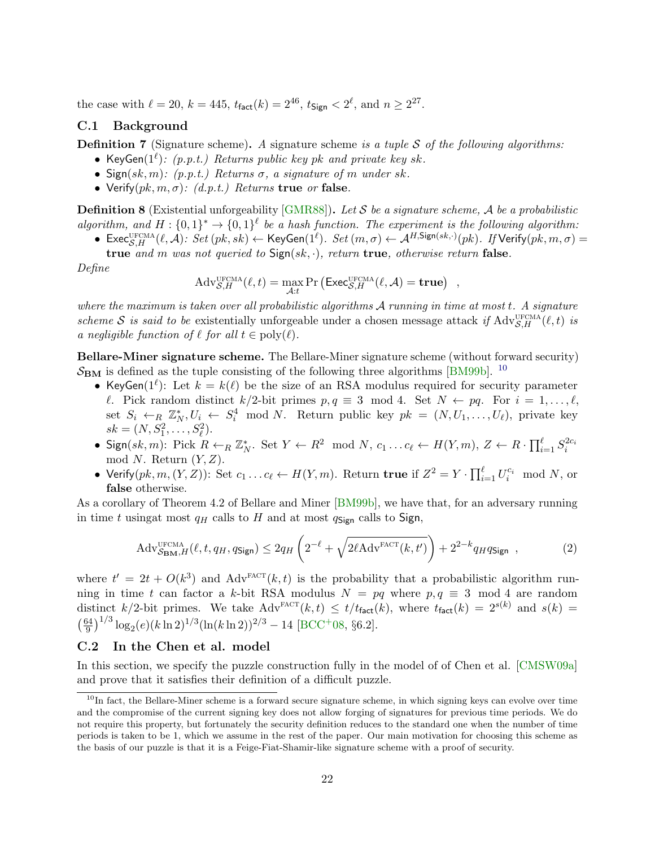the case with  $\ell = 20, k = 445, t_{\text{fact}}(k) = 2^{46}, t_{\text{Sign}} < 2^{\ell}$ , and  $n \geq 2^{27}$ .

### <span id="page-21-1"></span>C.1 Background

**Definition 7** (Signature scheme). A signature scheme is a tuple S of the following algorithms:

- KeyGen( $1^{\ell}$ ): (p.p.t.) Returns public key pk and private key sk.
- Sign(sk, m): (p.p.t.) Returns  $\sigma$ , a signature of m under sk.
- Verify $(pk, m, \sigma)$ :  $(d.p.t.)$  Returns true or false.

**Definition 8** (Existential unforgeability [\[GMR88\]](#page-15-11)). Let S be a signature scheme, A be a probabilistic

algorithm, and  $H: \{0,1\}^* \to \{0,1\}^{\ell}$  be a hash function. The experiment is the following algorithm: • Exec ${}_{S,H}^{\text{UFCMA}}(\ell, \mathcal{A})$ :  $Set(pk, sk) \leftarrow \text{KeyGen}(1^{\ell})$ .  $Set(m, \sigma) \leftarrow \mathcal{A}^{H, \text{Sign}(sk, \cdot)}(pk)$ . If Verify $(pk, m, \sigma) =$ 

true and m was not queried to  $Sign(sk, \cdot)$ , return true, otherwise return false.

Define

$$
Adv_{\mathcal{S},H}^{\text{UFCMA}}(\ell,t) = \max_{\mathcal{A}:t} \Pr\left(\text{Exec}_{\mathcal{S},H}^{\text{UFCMA}}(\ell,\mathcal{A}) = \textbf{true}\right) ,
$$

where the maximum is taken over all probabilistic algorithms  $A$  running in time at most  $t$ . A signature scheme S is said to be existentially unforgeable under a chosen message attack if  $\text{Adv}_{\mathcal{S},H}^{\text{UEMA}}(\ell,t)$  is a negligible function of  $\ell$  for all  $t \in \text{poly}(\ell)$ .

Bellare-Miner signature scheme. The Bellare-Miner signature scheme (without forward security)  $S_{BM}$  is defined as the tuple consisting of the following three algorithms [\[BM99b\]](#page-14-9). <sup>[10](#page-21-0)</sup>

- KeyGen( $1^{\ell}$ ): Let  $k = k(\ell)$  be the size of an RSA modulus required for security parameter  $\ell$ . Pick random distinct  $k/2$ -bit primes  $p, q \equiv 3 \mod 4$ . Set  $N \leftarrow pq$ . For  $i = 1, ..., \ell$ , set  $S_i \leftarrow_R \mathbb{Z}_N^*, U_i \leftarrow S_i^4 \mod N$ . Return public key  $pk = (N, U_1, \ldots, U_\ell)$ , private key  $sk = (N, S_1^2, \ldots, S_\ell^2).$
- $s_k = (N, S_1, \ldots, S_\ell).$ <br>
Sign(sk, m): Pick  $R \leftarrow_R \mathbb{Z}_N^*$ . Set  $Y \leftarrow R^2 \mod N$ ,  $c_1 \ldots c_\ell \leftarrow H(Y, m)$ ,  $Z \leftarrow R \cdot \prod_{i=1}^{\ell} S_i^{2c_i}$ mod N. Return  $(Y, Z)$ .
- Verify $(pk, m, (Y, Z))$ : Set  $c_1 \ldots c_\ell \leftarrow H(Y, m)$ . Return true if  $Z^2 = Y \cdot \prod_{i=1}^{\ell} U_i^{c_i} \mod N$ , or false otherwise.

As a corollary of Theorem 4.2 of Bellare and Miner [\[BM99b\]](#page-14-9), we have that, for an adversary running in time t using t most  $q_H$  calls to H and at most  $q_{Sign}$  calls to Sign,

<span id="page-21-2"></span>
$$
\text{Adv}_{\mathcal{S}_{\mathbf{BM}},H}^{\text{UFCMA}}(\ell,t,q_H,q_{\mathsf{Sign}}) \le 2q_H \left(2^{-\ell} + \sqrt{2\ell \text{Adv}^{\text{FACT}}(k,t')} \right) + 2^{2-k} q_H q_{\mathsf{Sign}} \quad , \tag{2}
$$

where  $t' = 2t + O(k^3)$  and Adv<sup>FACT</sup> $(k, t)$  is the probability that a probabilistic algorithm running in time t can factor a k-bit RSA modulus  $N = pq$  where  $p, q \equiv 3 \mod 4$  are random distinct k/2-bit primes. We take  $Adv^{\text{FACT}}(k, t) \leq t/t_{\text{fact}}(k)$ , where  $t_{\text{fact}}(k) = 2^{s(k)}$  and  $s(k) =$  $\left(\frac{64}{0}\right)$  $\frac{64}{9}$ )<sup>1/3</sup> log<sub>2</sub>(e)(k ln 2)<sup>1/3</sup>(ln(k ln 2))<sup>2/3</sup> – 14 [\[BCC](#page-14-6)<sup>+</sup>08, §6.2].

### C.2 In the Chen et al. model

In this section, we specify the puzzle construction fully in the model of of Chen et al. [\[CMSW09a\]](#page-15-0) and prove that it satisfies their definition of a difficult puzzle.

<span id="page-21-0"></span> $10$ In fact, the Bellare-Miner scheme is a forward secure signature scheme, in which signing keys can evolve over time and the compromise of the current signing key does not allow forging of signatures for previous time periods. We do not require this property, but fortunately the security definition reduces to the standard one when the number of time periods is taken to be 1, which we assume in the rest of the paper. Our main motivation for choosing this scheme as the basis of our puzzle is that it is a Feige-Fiat-Shamir-like signature scheme with a proof of security.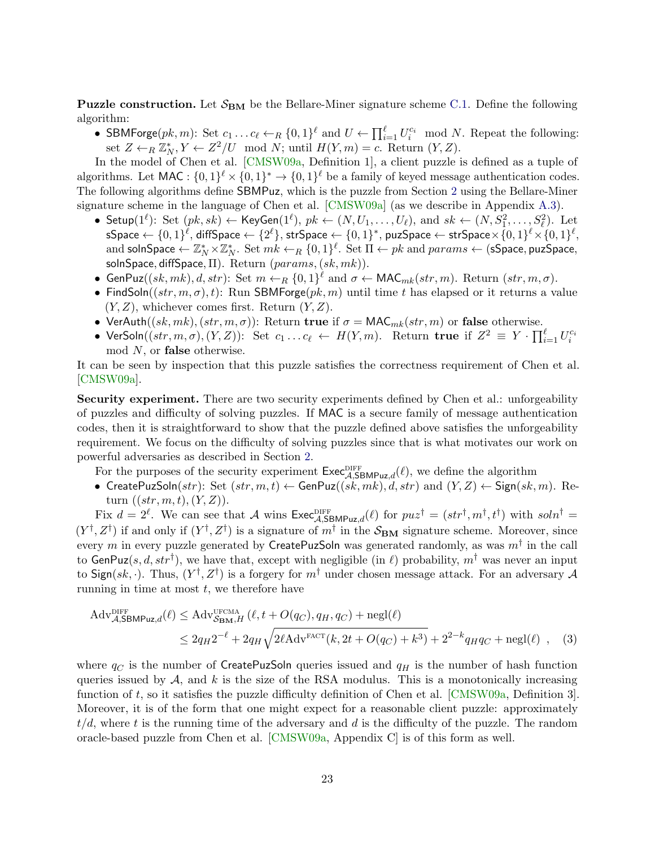**Puzzle construction.** Let  $S_{BM}$  be the Bellare-Miner signature scheme [C.1.](#page-21-1) Define the following algorithm:

• SBMForge $(pk, m)$ : Set  $c_1 \ldots c_\ell \leftarrow_R \{0, 1\}^\ell$  and  $U \leftarrow \prod_{i=1}^\ell U_i^{c_i} \mod N$ . Repeat the following: set  $Z \leftarrow_R \mathbb{Z}_N^*, Y \leftarrow Z^2/U \mod N$ ; until  $H(Y,m) = c$ . Return  $(Y, Z)$ .

In the model of Chen et al. [\[CMSW09a,](#page-15-0) Definition 1], a client puzzle is defined as a tuple of algorithms. Let MAC :  $\{0,1\}^{\ell} \times \{0,1\}^* \to \{0,1\}^{\ell}$  be a family of keyed message authentication codes. The following algorithms define SBMPuz, which is the puzzle from Section [2](#page-3-0) using the Bellare-Miner signature scheme in the language of Chen et al. [\[CMSW09a\]](#page-15-0) (as we describe in Appendix [A.3\)](#page-18-0).

- Setup $(1^{\ell})$ : Set  $(pk, sk) \leftarrow \textsf{KeyGen}(1^{\ell}), pk \leftarrow (N, U_1, \ldots, U_{\ell}), \text{ and } sk \leftarrow (N, S_1^2, \ldots, S_{\ell}^2).$  Let  $\mathsf{sSpace} \gets \{0,1\}^\ell, \mathsf{diffSpace} \gets \{2^\ell\}, \mathsf{strSpace} \gets \{0,1\}^*, \mathsf{puzSpace} \gets \mathsf{strSpace} \times \{0,1\}^\ell \times \{0,1\}^\ell,$ and solnSpace  $\leftarrow \mathbb{Z}_N^* \times \mathbb{Z}_N^*$ . Set  $mk \leftarrow_R \{0,1\}^{\ell}$ . Set  $\Pi \leftarrow pk$  and  $params \leftarrow$  (sSpace, puzSpace, solnSpace, diffSpace,  $\Pi$ ). Return  $(params, (sk, mk))$ .
- GenPuz((sk, mk), d, str): Set  $m \leftarrow_R \{0,1\}^{\ell}$  and  $\sigma \leftarrow \textsf{MAC}_{mk}(str, m)$ . Return  $(str, m, \sigma)$ .
- FindSoln( $(str, m, \sigma)$ , t): Run SBMForge(pk, m) until time t has elapsed or it returns a value  $(Y, Z)$ , whichever comes first. Return  $(Y, Z)$ .
- VerAuth $((sk,mk),(str,m,\sigma))$ : Return true if  $\sigma = \text{MAC}_{mk}(str,m)$  or false otherwise.
- VerSoln $((str, m, \sigma), (Y, Z))$ : Set  $c_1 \ldots c_\ell \leftarrow H(Y, m)$ . Return true if  $Z^2 \equiv Y \cdot \prod_{i=1}^{\ell} U_i^{c_i}$  $mod N$ , or **false** otherwise.

It can be seen by inspection that this puzzle satisfies the correctness requirement of Chen et al. [\[CMSW09a\]](#page-15-0).

Security experiment. There are two security experiments defined by Chen et al.: unforgeability of puzzles and difficulty of solving puzzles. If MAC is a secure family of message authentication codes, then it is straightforward to show that the puzzle defined above satisfies the unforgeability requirement. We focus on the difficulty of solving puzzles since that is what motivates our work on powerful adversaries as described in Section [2.](#page-3-0)

For the purposes of the security experiment  $\mathsf{Exec}_{\mathcal{A},\mathsf{SBMPuz},d}^{\text{DIFF}}(\ell)$ , we define the algorithm

• CreatePuzSoln(str): Set  $(str, m, t) \leftarrow$  GenPuz $((sk, mk), d, str)$  and  $(Y, Z) \leftarrow$  Sign(sk, m). Return  $((str, m, t), (Y, Z)).$ 

Fix  $d = 2^{\ell}$ . We can see that A wins  $\text{Exec}_{\mathcal{A}, \text{SBMPuz}, d}^{\text{DIFF}}(\ell)$  for  $puz^{\dagger} = (str^{\dagger}, m^{\dagger}, t^{\dagger})$  with  $soln^{\dagger} =$  $(Y^{\dagger}, Z^{\dagger})$  if and only if  $(Y^{\dagger}, Z^{\dagger})$  is a signature of  $m^{\dagger}$  in the  $S_{BM}$  signature scheme. Moreover, since every  $m$  in every puzzle generated by CreatePuzSoln was generated randomly, as was  $m^\dagger$  in the call to GenPuz(s, d, str<sup>†</sup>), we have that, except with negligible (in  $\ell$ ) probability,  $m^{\dagger}$  was never an input to Sign(sk,  $\cdot$ ). Thus,  $(Y^{\dagger}, Z^{\dagger})$  is a forgery for  $m^{\dagger}$  under chosen message attack. For an adversary A running in time at most  $t$ , we therefore have

<span id="page-22-0"></span>
$$
\begin{split} \n\mathrm{Adv}_{\mathcal{A},\mathsf{SBMPuz},d}^{\text{DIFF}}(\ell) &\leq \mathrm{Adv}_{\mathcal{S}_{\mathbf{BM}},H}^{\text{UFCMA}}\left(\ell,t+O(q_C), q_H, q_C\right) + \text{negl}(\ell) \\ \n&\leq 2q_H 2^{-\ell} + 2q_H \sqrt{2\ell \mathrm{Adv}^{\text{FACT}}(k, 2t+O(q_C)+k^3)} + 2^{2-k}q_H q_C + \text{negl}(\ell) \quad , \quad (3) \n\end{split}
$$

where  $q_C$  is the number of CreatePuzSoln queries issued and  $q_H$  is the number of hash function queries issued by  $A$ , and k is the size of the RSA modulus. This is a monotonically increasing function of t, so it satisfies the puzzle difficulty definition of Chen et al. [\[CMSW09a,](#page-15-0) Definition 3]. Moreover, it is of the form that one might expect for a reasonable client puzzle: approximately  $t/d$ , where t is the running time of the adversary and d is the difficulty of the puzzle. The random oracle-based puzzle from Chen et al. [\[CMSW09a,](#page-15-0) Appendix C] is of this form as well.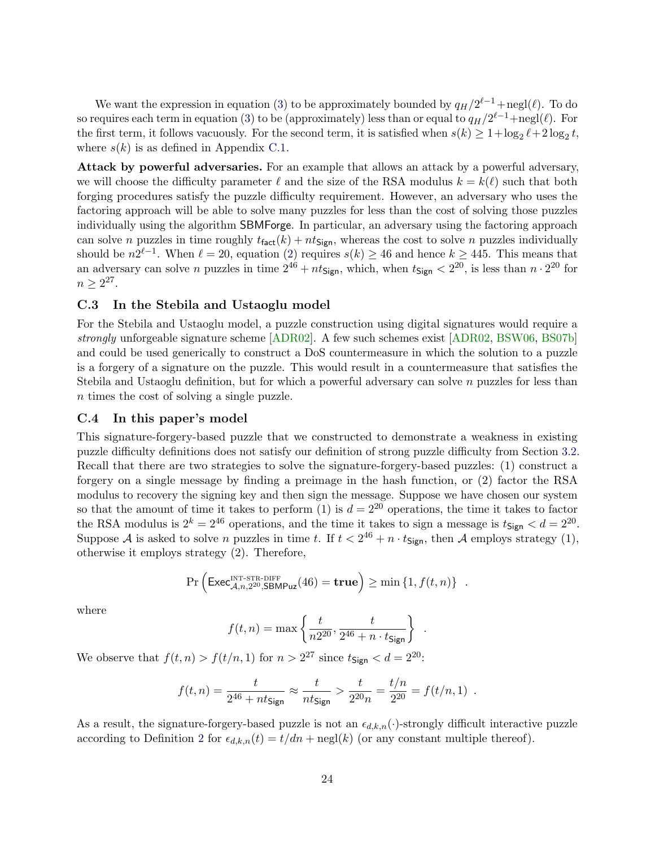We want the expression in equation [\(3\)](#page-22-0) to be approximately bounded by  $q_H/2^{\ell-1} + \text{negl}(\ell)$ . To do so requires each term in equation [\(3\)](#page-22-0) to be (approximately) less than or equal to  $q_H/2^{\ell-1} + \text{negl}(\ell)$ . For the first term, it follows vacuously. For the second term, it is satisfied when  $s(k) \geq 1 + \log_2 \ell + 2 \log_2 t$ , where  $s(k)$  is as defined in Appendix [C.1.](#page-21-1)

Attack by powerful adversaries. For an example that allows an attack by a powerful adversary, we will choose the difficulty parameter  $\ell$  and the size of the RSA modulus  $k = k(\ell)$  such that both forging procedures satisfy the puzzle difficulty requirement. However, an adversary who uses the factoring approach will be able to solve many puzzles for less than the cost of solving those puzzles individually using the algorithm SBMForge. In particular, an adversary using the factoring approach can solve n puzzles in time roughly  $t_{\text{fact}}(k) + nt_{\text{Sign}}$ , whereas the cost to solve n puzzles individually should be  $n2^{\ell-1}$ . When  $\ell = 20$ , equation [\(2\)](#page-21-2) requires  $s(k) \geq 46$  and hence  $k \geq 445$ . This means that an adversary can solve *n* puzzles in time  $2^{46} + nt_{\text{Sign}}$ , which, when  $t_{\text{Sign}} < 2^{20}$ , is less than  $n \cdot 2^{20}$  for  $n \geq 2^{27}$ .

### C.3 In the Stebila and Ustaoglu model

For the Stebila and Ustaoglu model, a puzzle construction using digital signatures would require a strongly unforgeable signature scheme [\[ADR02\]](#page-14-13). A few such schemes exist [\[ADR02,](#page-14-13) [BSW06,](#page-15-12) [BS07b\]](#page-15-7) and could be used generically to construct a DoS countermeasure in which the solution to a puzzle is a forgery of a signature on the puzzle. This would result in a countermeasure that satisfies the Stebila and Ustaoglu definition, but for which a powerful adversary can solve  $n$  puzzles for less than n times the cost of solving a single puzzle.

### C.4 In this paper's model

This signature-forgery-based puzzle that we constructed to demonstrate a weakness in existing puzzle difficulty definitions does not satisfy our definition of strong puzzle difficulty from Section [3.2.](#page-5-2) Recall that there are two strategies to solve the signature-forgery-based puzzles: (1) construct a forgery on a single message by finding a preimage in the hash function, or (2) factor the RSA modulus to recovery the signing key and then sign the message. Suppose we have chosen our system so that the amount of time it takes to perform (1) is  $d = 2^{20}$  operations, the time it takes to factor the RSA modulus is  $2^k = 2^{46}$  operations, and the time it takes to sign a message is  $t_{\text{Sign}} < d = 2^{20}$ . Suppose A is asked to solve n puzzles in time t. If  $t < 2^{46} + n \cdot t_{Sign}$ , then A employs strategy (1), otherwise it employs strategy (2). Therefore,

$$
\Pr\left(\mathsf{Exec}_{\mathcal{A},n,2^{20},\mathsf{SBMPuz}}^{\text{INT-STR-DIFF}}(46) = \mathbf{true}\right) \ge \min\left\{1, f(t,n)\right\} .
$$

where

$$
f(t,n) = \max\left\{\frac{t}{n2^{20}}, \frac{t}{2^{46}+n \cdot t_{\text{Sign}}}\right\} .
$$

We observe that  $f(t, n) > f(t/n, 1)$  for  $n > 2^{27}$  since  $t_{\text{Sign}} < d = 2^{20}$ .

$$
f(t,n) = \frac{t}{2^{46} + nt_{\text{Sign}}} \approx \frac{t}{nt_{\text{Sign}}} > \frac{t}{2^{20}n} = \frac{t/n}{2^{20}} = f(t/n, 1) .
$$

<span id="page-23-0"></span>As a result, the signature-forgery-based puzzle is not an  $\epsilon_{d,k,n}(\cdot)$ -strongly difficult interactive puzzle according to Definition [2](#page-6-2) for  $\epsilon_{d,k,n}(t) = t/dn + \text{negl}(k)$  (or any constant multiple thereof).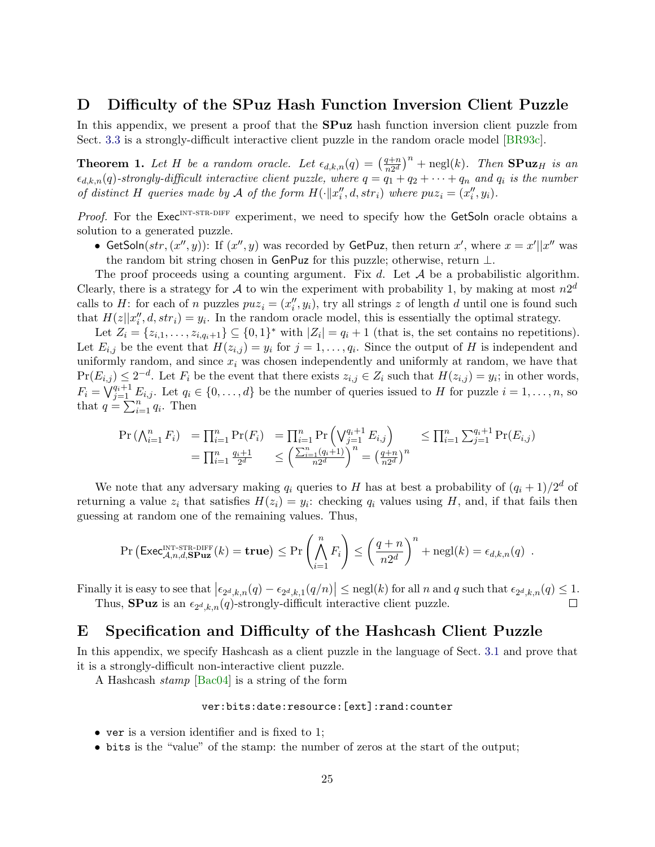# D Difficulty of the SPuz Hash Function Inversion Client Puzzle

In this appendix, we present a proof that the **SPuz** hash function inversion client puzzle from Sect. [3.3](#page-7-0) is a strongly-difficult interactive client puzzle in the random oracle model [\[BR93c\]](#page-15-6).

**Theorem 1.** Let H be a random oracle. Let  $\epsilon_{d,k,n}(q) = \left(\frac{q+n}{n^{2d}}\right)^{n}$  $\left(\frac{q+n}{n2^d}\right)^n$  + negl(k). Then **SPuz**<sub>H</sub> is an  $\epsilon_{d,k,n}(q)$ -strongly-difficult interactive client puzzle, where  $q = q_1 + q_2 + \cdots + q_n$  and  $q_i$  is the number of distinct H queries made by A of the form  $H(\cdot || x''_i, d, str_i)$  where  $puz_i = (x''_i, y_i)$ .

Proof. For the  $\text{Exec}^{\text{INT-STR-DIFF}}$  experiment, we need to specify how the GetSoln oracle obtains a solution to a generated puzzle.

• GetSoln $(str, (x'', y))$ : If  $(x'', y)$  was recorded by GetPuz, then return x', where  $x = x' || x''$  was the random bit string chosen in GenPuz for this puzzle; otherwise, return ⊥.

The proof proceeds using a counting argument. Fix d. Let  $A$  be a probabilistic algorithm. Clearly, there is a strategy for A to win the experiment with probability 1, by making at most  $n2^d$ calls to H: for each of n puzzles  $puz_i = (x''_i, y_i)$ , try all strings z of length d until one is found such that  $H(z||x''_i, d, str_i) = y_i$ . In the random oracle model, this is essentially the optimal strategy.

Let  $Z_i = \{z_{i,1}, \ldots, z_{i,q_i+1}\} \subseteq \{0,1\}^*$  with  $|Z_i| = q_i + 1$  (that is, the set contains no repetitions). Let  $E_{i,j}$  be the event that  $H(z_{i,j}) = y_i$  for  $j = 1, \ldots, q_i$ . Since the output of H is independent and uniformly random, and since  $x_i$  was chosen independently and uniformly at random, we have that  $Pr(E_{i,j}) \leq 2^{-d}$ . Let  $F_i$  be the event that there exists  $z_{i,j} \in Z_i$  such that  $H(z_{i,j}) = y_i$ ; in other words,  $F_i = \bigvee_{j=1}^{q_i+1} E_{i,j}$ . Let  $q_i \in \{0, \ldots, d\}$  be the number of queries issued to H for puzzle  $i = 1, \ldots, n$ , so that  $q = \sum_{i=1}^{n} q_i$ . Then

$$
\Pr\left(\bigwedge_{i=1}^{n} F_i\right) = \prod_{i=1}^{n} \Pr(F_i) = \prod_{i=1}^{n} \Pr\left(\bigvee_{j=1}^{q_i+1} E_{i,j}\right) \le \prod_{i=1}^{n} \sum_{j=1}^{q_i+1} \Pr(E_{i,j})
$$
  
=  $\prod_{i=1}^{n} \frac{q_i+1}{2^d} \le \left(\frac{\sum_{i=1}^{n} (q_i+1)}{n2^d}\right)^n = \left(\frac{q+n}{n2^d}\right)^n$ 

We note that any adversary making  $q_i$  queries to H has at best a probability of  $(q_i + 1)/2^d$  of returning a value  $z_i$  that satisfies  $H(z_i) = y_i$ : checking  $q_i$  values using H, and, if that fails then guessing at random one of the remaining values. Thus,

$$
\Pr\left(\text{Exec}_{\mathcal{A},n,d,\mathbf{SPuz}}^{\text{INT-STR-DIFF}}(k) = \mathbf{true}\right) \le \Pr\left(\bigwedge_{i=1}^{n} F_i\right) \le \left(\frac{q+n}{n2^d}\right)^n + \text{negl}(k) = \epsilon_{d,k,n}(q) .
$$

Finally it is easy to see that  $\left|\epsilon_{2d,k,n}(q)-\epsilon_{2d,k,1}(q/n)\right| \leq \text{negl}(k)$  for all n and q such that  $\epsilon_{2d,k,n}(q) \leq 1$ . Thus, **SPuz** is an  $\epsilon_{2^d,k,n}(q)$ -strongly-difficult interactive client puzzle. П

# <span id="page-24-0"></span>E Specification and Difficulty of the Hashcash Client Puzzle

In this appendix, we specify Hashcash as a client puzzle in the language of Sect. [3.1](#page-5-3) and prove that it is a strongly-difficult non-interactive client puzzle.

A Hashcash stamp [\[Bac04\]](#page-14-3) is a string of the form

### ver:bits:date:resource:[ext]:rand:counter

- ver is a version identifier and is fixed to 1;
- bits is the "value" of the stamp: the number of zeros at the start of the output;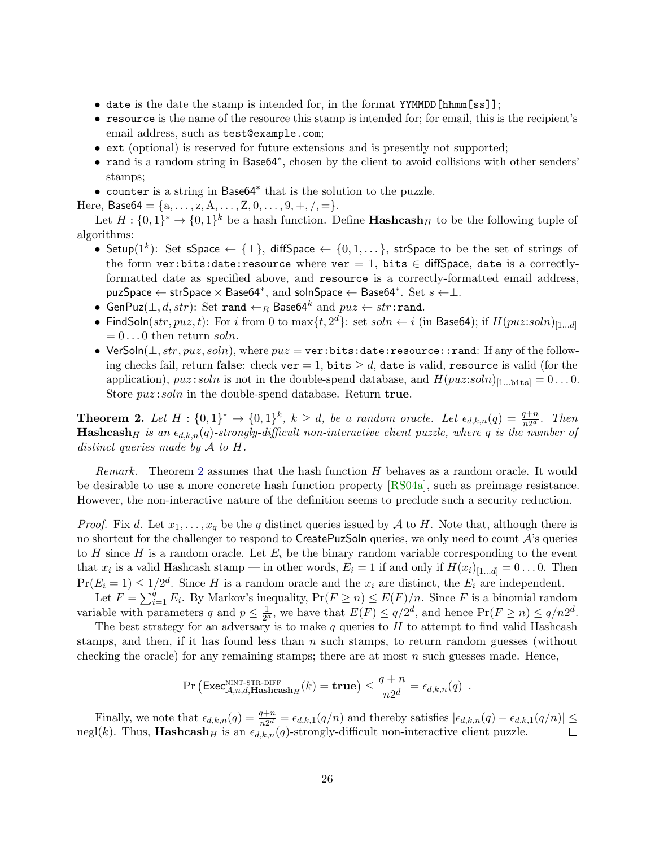- date is the date the stamp is intended for, in the format YYMMDD[hhmm[ss]];
- resource is the name of the resource this stamp is intended for; for email, this is the recipient's email address, such as test@example.com;
- ext (optional) is reserved for future extensions and is presently not supported;
- rand is a random string in Base64<sup>∗</sup> , chosen by the client to avoid collisions with other senders' stamps;
- counter is a string in Base64<sup>∗</sup> that is the solution to the puzzle.

Here, Base64 = { $a, \ldots, z, A, \ldots, Z, 0, \ldots, 9, +, /, =$  }.

Let  $H: \{0,1\}^* \to \{0,1\}^k$  be a hash function. Define **Hashcash**<sub>H</sub> to be the following tuple of algorithms:

- Setup $(1^k)$ : Set sSpace ← { $\perp$ }, diffSpace ← {0,1,...}, strSpace to be the set of strings of the form ver:bits:date:resource where ver = 1, bits  $\in$  diffSpace, date is a correctlyformatted date as specified above, and resource is a correctly-formatted email address, puzSpace  $\leftarrow$  strSpace  $\times$  Base64 $^*$ , and soInSpace  $\leftarrow$  Base64 $^*$ . Set  $s \leftarrow \perp$ .
- $\bullet$  GenPuz $(\perp, d, str)$ : Set rand  $\leftarrow_R$  Base64 $^k$  and  $puz \leftarrow str:$ rand.
- FindSoln $(str, puz, t)$ : For i from 0 to  $\max\{t, 2^d\}$ : set  $soln \leftarrow i$  (in Base64); if  $H(puz: soln)_{[1...d]}$  $= 0 \dots 0$  then return soln.
- VerSoln( $\perp$ , str, puz, soln), where  $puz = \texttt{ver:bits:date:resource::rand:}$  If any of the following checks fail, return false: check ver = 1, bits  $\geq d$ , date is valid, resource is valid (for the application),  $puz: soln$  is not in the double-spend database, and  $H(puz: soln)_{[1... \text{bits}]} = 0...0$ . Store  $puz:soln$  in the double-spend database. Return true.

**Theorem 2.** Let  $H: \{0,1\}^k \to \{0,1\}^k$ ,  $k \geq d$ , be a random oracle. Let  $\epsilon_{d,k,n}(q) = \frac{q+n}{n2^d}$ . Then Hashcash<sub>H</sub> is an  $\epsilon_{d,k,n}(q)$ -strongly-difficult non-interactive client puzzle, where q is the number of distinct queries made by A to H.

Remark. Theorem [2](#page-9-2) assumes that the hash function H behaves as a random oracle. It would be desirable to use a more concrete hash function property [\[RS04a\]](#page-16-9), such as preimage resistance. However, the non-interactive nature of the definition seems to preclude such a security reduction.

*Proof.* Fix d. Let  $x_1, \ldots, x_q$  be the q distinct queries issued by A to H. Note that, although there is no shortcut for the challenger to respond to CreatePuzSoln queries, we only need to count  $\mathcal{A}$ 's queries to H since H is a random oracle. Let  $E_i$  be the binary random variable corresponding to the event that  $x_i$  is a valid Hashcash stamp — in other words,  $E_i = 1$  if and only if  $H(x_i)_{[1...d]} = 0 \dots 0$ . Then  $Pr(E_i = 1) \leq 1/2^d$ . Since H is a random oracle and the  $x_i$  are distinct, the  $E_i$  are independent.

Let  $F = \sum_{i=1}^{q} E_i$ . By Markov's inequality,  $Pr(F \ge n) \le E(F)/n$ . Since F is a binomial random variable with parameters q and  $p \leq \frac{1}{2}$  $\frac{1}{2^d}$ , we have that  $E(F) \le q/2^d$ , and hence  $Pr(F \ge n) \le q/n2^d$ .

The best strategy for an adversary is to make  $q$  queries to  $H$  to attempt to find valid Hashcash stamps, and then, if it has found less than  $n$  such stamps, to return random guesses (without checking the oracle) for any remaining stamps; there are at most  $n$  such guesses made. Hence,

$$
\Pr\left(\text{Exec}_{\mathcal{A},n,d,\text{Hasheash}_H}^{\text{NINT-STR-DIFF}}(k) = \text{true}\right) \le \frac{q+n}{n2^d} = \epsilon_{d,k,n}(q) .
$$

<span id="page-25-0"></span>Finally, we note that  $\epsilon_{d,k,n}(q) = \frac{q+n}{n2^d} = \epsilon_{d,k,1}(q/n)$  and thereby satisfies  $|\epsilon_{d,k,n}(q) - \epsilon_{d,k,1}(q/n)| \leq$ negl(k). Thus, **Hashcash**H is an  $\epsilon_{d,k,n}(q)$ -strongly-difficult non-interactive client puzzle.  $\Box$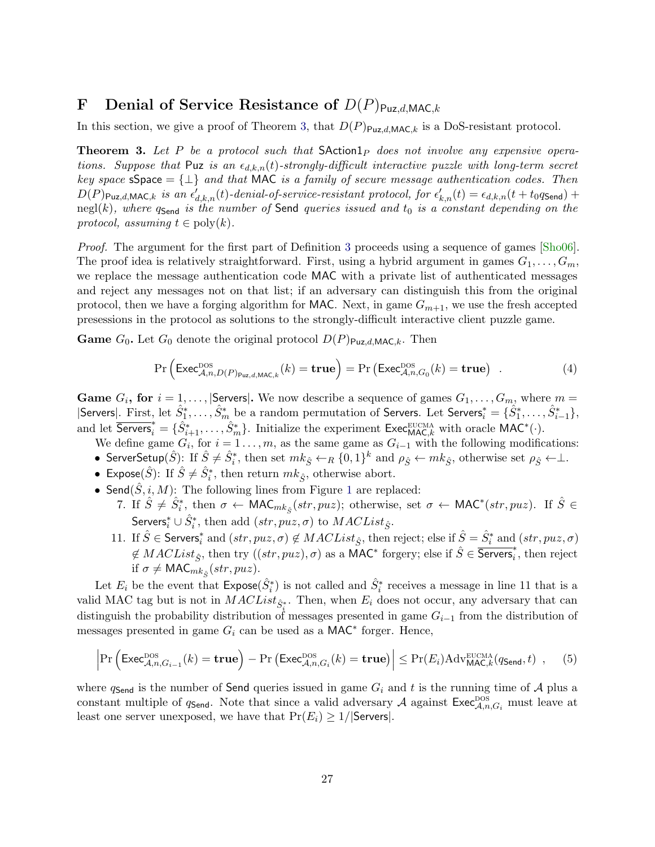# F Denial of Service Resistance of  $D(P)_{Puz,d,MAC,k}$

In this section, we give a proof of Theorem [3,](#page-12-1) that  $D(P)_{\text{Puz},d,\text{MAC},k}$  is a DoS-resistant protocol.

**Theorem 3.** Let P be a protocol such that  $S$ Action1<sub>P</sub> does not involve any expensive operations. Suppose that Puz is an  $\epsilon_{d,k,n}(t)$ -strongly-difficult interactive puzzle with long-term secret key space  $sSpec = \{\perp\}$  and that MAC is a family of secure message authentication codes. Then  $D(P)_{\text{Puz},d,\text{MAC},k}$  is an  $\epsilon'_{d,k,n}(t)$ -denial-of-service-resistant protocol, for  $\epsilon'_{k,n}(t) = \epsilon_{d,k,n}(t+t_0q_{\text{Send}}) +$ negl(k), where  $q_{\text{Send}}$  is the number of Send queries issued and  $t_0$  is a constant depending on the protocol, assuming  $t \in \text{poly}(k)$ .

Proof. The argument for the first part of Definition [3](#page-10-1) proceeds using a sequence of games [\[Sho06\]](#page-17-10). The proof idea is relatively straightforward. First, using a hybrid argument in games  $G_1, \ldots, G_m$ , we replace the message authentication code MAC with a private list of authenticated messages and reject any messages not on that list; if an adversary can distinguish this from the original protocol, then we have a forging algorithm for MAC. Next, in game  $G_{m+1}$ , we use the fresh accepted presessions in the protocol as solutions to the strongly-difficult interactive client puzzle game.

**Game**  $G_0$ . Let  $G_0$  denote the original protocol  $D(P)_{\text{Puz},d,\text{MAC},k}$ . Then

<span id="page-26-0"></span>
$$
\Pr\left(\text{Exec}_{\mathcal{A},n,D(P)_{\text{Puz},d,\text{MAC},k}}^{\text{DOS}}(k) = \text{true}\right) = \Pr\left(\text{Exec}_{\mathcal{A},n,G_0}^{\text{DOS}}(k) = \text{true}\right) \quad . \tag{4}
$$

**Game**  $G_i$ , for  $i = 1, ...,$  Servers. We now describe a sequence of games  $G_1, ..., G_m$ , where  $m =$  $|\textsf{Servers}|$ . First, let  $\hat{S}_1^*, \ldots, \hat{S}_m^*$  be a random permutation of Servers. Let Servers $_i^* = \{\hat{S}_1^*, \ldots, \hat{S}_{i-1}^*\}$ , and let  $\overline{\mathsf{Servers}}_i^* = \{\hat{S}_{i+1}^*, \ldots, \hat{S}_m^*\}$ . Initialize the experiment  $\mathsf{Exec}_{\mathsf{MAC},k}^{\text{EUCMA}}$  with oracle  $\mathsf{MAC}^*(\cdot)$ .

We define game  $G_i$ , for  $i = 1 \ldots, m$ , as the same game as  $G_{i-1}$  with the following modifications:

- ServerSetup $(\hat{S})$ : If  $\hat{S} \neq \hat{S}^*_i$ , then set  $mk_{\hat{S}} \leftarrow_R \{0,1\}^k$  and  $\rho_{\hat{S}} \leftarrow mk_{\hat{S}}$ , otherwise set  $\rho_{\hat{S}} \leftarrow \perp$ .
- Expose $(\hat{S})$ : If  $\hat{S} \neq \hat{S}_i^*$ , then return  $mk_{\hat{S}},$  otherwise abort.
- Send $(\hat{S}, i, M)$ : The following lines from Figure [1](#page-12-0) are replaced:
	- 7. If  $\hat{S} \neq \hat{S}_i^*$ , then  $\sigma \leftarrow \text{MAC}_{mk_{\hat{S}}}(str, puz)$ ; otherwise, set  $\sigma \leftarrow \text{MAC}^*(str, puz)$ . If  $\hat{S} \in$ Servers $_i^* \cup \hat{S}_i^*$ , then add  $(str, puz, \sigma)$  to  $MACList_{\hat{S}}$ .
	- 11. If  $\hat{S} \in \textsf{Servers}_i^*$  and  $(str, px, \sigma) \notin MACList_{\hat{S}}$ , then reject; else if  $\hat{S} = \hat{S}_i^*$  and  $(str, px, \sigma)$  $\notin MACList_{\hat{S}}$ , then try  $((str, puz), \sigma)$  as a MAC<sup>\*</sup> forgery; else if  $\hat{S} \in \overline{\mathsf{Servers}}_i^*$ , then reject if  $\sigma \neq \mathsf{MAC}_{mk_{\hat{S}}}(str, puz)$ .

Let  $E_i$  be the event that  $\mathsf{Expose}(\hat{S}_i^*)$  is not called and  $\hat{S}_i^*$  receives a message in line 11 that is a valid MAC tag but is not in  $MACList_{\hat{S}^*_{i}}$ . Then, when  $E_i$  does not occur, any adversary that can distinguish the probability distribution of messages presented in game  $G_{i-1}$  from the distribution of messages presented in game  $G_i$  can be used as a MAC<sup>\*</sup> forger. Hence,

$$
\left| \Pr \left( \text{Exec}_{\mathcal{A},n,G_{i-1}}^{\text{DOS}}(k) = \text{true} \right) - \Pr \left( \text{Exec}_{\mathcal{A},n,G_i}^{\text{DOS}}(k) = \text{true} \right) \right| \leq \Pr(E_i) \text{Adv}_{\text{MAC},k}^{\text{EUCMA}}(q_{\text{Send}},t) , \quad (5)
$$

where  $q_{\mathsf{Send}}$  is the number of Send queries issued in game  $G_i$  and t is the running time of A plus a constant multiple of  $q_{\mathsf{Send}}$ . Note that since a valid adversary A against  $\mathsf{Exec}_{\mathcal{A},n,G_i}^{\text{pos}}$  must leave at least one server unexposed, we have that  $Pr(E_i) \geq 1/|S$ ervers.